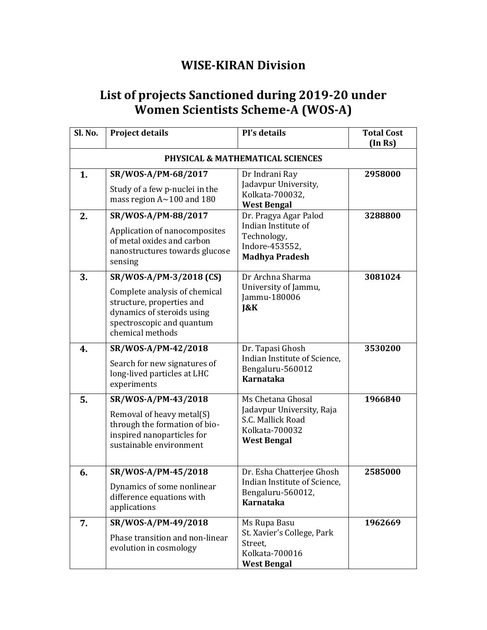## **WISE-KIRAN Division**

## **List of projects Sanctioned during 2019-20 under Women Scientists Scheme-A (WOS-A)**

| Sl. No. | <b>Project details</b>                                                                                                                                               | PI's details                                                                                                | <b>Total Cost</b><br>(In Rs) |
|---------|----------------------------------------------------------------------------------------------------------------------------------------------------------------------|-------------------------------------------------------------------------------------------------------------|------------------------------|
|         |                                                                                                                                                                      | <b>PHYSICAL &amp; MATHEMATICAL SCIENCES</b>                                                                 |                              |
| 1.      | SR/WOS-A/PM-68/2017<br>Study of a few p-nuclei in the<br>mass region $A \sim 100$ and 180                                                                            | Dr Indrani Ray<br>Jadavpur University,<br>Kolkata-700032,<br><b>West Bengal</b>                             | 2958000                      |
| 2.      | SR/WOS-A/PM-88/2017<br>Application of nanocomposites<br>of metal oxides and carbon<br>nanostructures towards glucose<br>sensing                                      | Dr. Pragya Agar Palod<br>Indian Institute of<br>Technology,<br>Indore-453552,<br><b>Madhya Pradesh</b>      | 3288800                      |
| 3.      | SR/WOS-A/PM-3/2018 (CS)<br>Complete analysis of chemical<br>structure, properties and<br>dynamics of steroids using<br>spectroscopic and quantum<br>chemical methods | Dr Archna Sharma<br>University of Jammu,<br>Jammu-180006<br>J&K                                             | 3081024                      |
| 4.      | SR/WOS-A/PM-42/2018<br>Search for new signatures of<br>long-lived particles at LHC<br>experiments                                                                    | Dr. Tapasi Ghosh<br>Indian Institute of Science,<br>Bengaluru-560012<br><b>Karnataka</b>                    | 3530200                      |
| 5.      | SR/WOS-A/PM-43/2018<br>Removal of heavy metal(S)<br>through the formation of bio-<br>inspired nanoparticles for<br>sustainable environment                           | Ms Chetana Ghosal<br>Jadavpur University, Raja<br>S.C. Mallick Road<br>Kolkata-700032<br><b>West Bengal</b> | 1966840                      |
| 6.      | SR/WOS-A/PM-45/2018<br>Dynamics of some nonlinear<br>difference equations with<br>applications                                                                       | Dr. Esha Chatterjee Ghosh<br>Indian Institute of Science,<br>Bengaluru-560012,<br>Karnataka                 | 2585000                      |
| 7.      | SR/WOS-A/PM-49/2018<br>Phase transition and non-linear<br>evolution in cosmology                                                                                     | Ms Rupa Basu<br>St. Xavier's College, Park<br>Street,<br>Kolkata-700016<br><b>West Bengal</b>               | 1962669                      |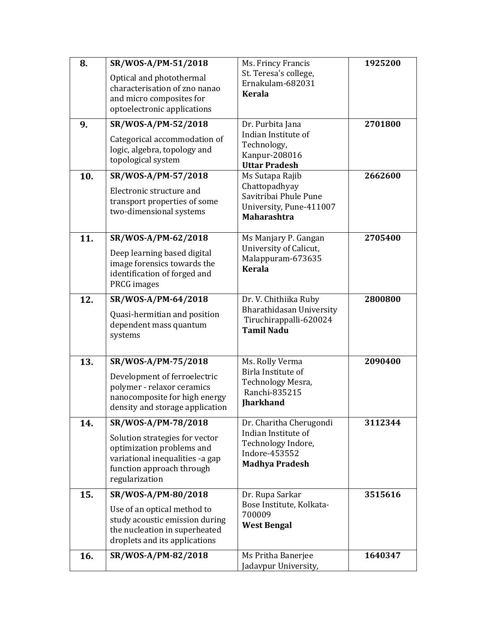| 8.  | SR/WOS-A/PM-51/2018                                                                                                                           | Ms. Frincy Francis                                                                      | 1925200 |
|-----|-----------------------------------------------------------------------------------------------------------------------------------------------|-----------------------------------------------------------------------------------------|---------|
|     | Optical and photothermal<br>characterisation of zno nanao<br>and micro composites for<br>optoelectronic applications                          | St. Teresa's college,<br>Ernakulam-682031<br><b>Kerala</b>                              |         |
| 9.  | SR/WOS-A/PM-52/2018                                                                                                                           | Dr. Purbita Jana                                                                        | 2701800 |
|     | Categorical accommodation of<br>logic, algebra, topology and<br>topological system                                                            | Indian Institute of<br>Technology,<br>Kanpur-208016<br><b>Uttar Pradesh</b>             |         |
| 10. | SR/WOS-A/PM-57/2018                                                                                                                           | Ms Sutapa Rajib                                                                         | 2662600 |
|     | Electronic structure and<br>transport properties of some<br>two-dimensional systems                                                           | Chattopadhyay<br>Savitribai Phule Pune<br>University, Pune-411007<br><b>Maharashtra</b> |         |
| 11. | SR/WOS-A/PM-62/2018                                                                                                                           | Ms Manjary P. Gangan                                                                    | 2705400 |
|     | Deep learning based digital<br>image forensics towards the<br>identification of forged and<br>PRCG images                                     | University of Calicut,<br>Malappuram-673635<br><b>Kerala</b>                            |         |
| 12. | SR/WOS-A/PM-64/2018                                                                                                                           | Dr. V. Chithiika Ruby                                                                   | 2800800 |
|     | Quasi-hermitian and position<br>dependent mass quantum<br>systems                                                                             | Bharathidasan University<br>Tiruchirappalli-620024<br><b>Tamil Nadu</b>                 |         |
| 13. | SR/WOS-A/PM-75/2018                                                                                                                           | Ms. Rolly Verma                                                                         | 2090400 |
|     | Development of ferroelectric<br>polymer - relaxor ceramics<br>nanocomposite for high energy<br>density and storage application                | Birla Institute of<br>Technology Mesra,<br>Ranchi-835215<br><b>Jharkhand</b>            |         |
| 14. | SR/WOS-A/PM-78/2018                                                                                                                           | Dr. Charitha Cherugondi                                                                 | 3112344 |
|     | Solution strategies for vector<br>optimization problems and<br>variational inequalities -a gap<br>function approach through<br>regularization | Indian Institute of<br>Technology Indore,<br>Indore-453552<br><b>Madhya Pradesh</b>     |         |
| 15. | SR/WOS-A/PM-80/2018                                                                                                                           | Dr. Rupa Sarkar                                                                         | 3515616 |
|     | Use of an optical method to<br>study acoustic emission during<br>the nucleation in superheated<br>droplets and its applications               | Bose Institute, Kolkata-<br>700009<br><b>West Bengal</b>                                |         |
| 16. | SR/WOS-A/PM-82/2018                                                                                                                           | Ms Pritha Banerjee<br>Jadavpur University,                                              | 1640347 |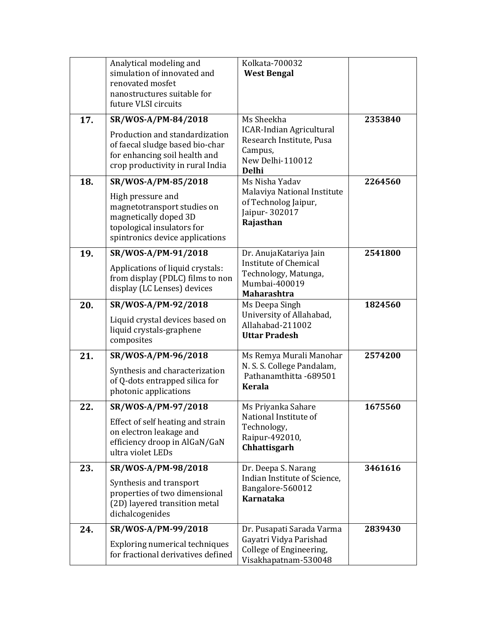|     | Analytical modeling and<br>simulation of innovated and                                                                                     | Kolkata-700032<br><b>West Bengal</b>                                                                       |         |
|-----|--------------------------------------------------------------------------------------------------------------------------------------------|------------------------------------------------------------------------------------------------------------|---------|
|     | renovated mosfet<br>nanostructures suitable for<br>future VLSI circuits                                                                    |                                                                                                            |         |
| 17. | SR/WOS-A/PM-84/2018                                                                                                                        | Ms Sheekha                                                                                                 | 2353840 |
|     | Production and standardization<br>of faecal sludge based bio-char<br>for enhancing soil health and<br>crop productivity in rural India     | <b>ICAR-Indian Agricultural</b><br>Research Institute, Pusa<br>Campus,<br>New Delhi-110012<br><b>Delhi</b> |         |
| 18. | SR/WOS-A/PM-85/2018                                                                                                                        | Ms Nisha Yadav                                                                                             | 2264560 |
|     | High pressure and<br>magnetotransport studies on<br>magnetically doped 3D<br>topological insulators for<br>spintronics device applications | Malaviya National Institute<br>of Technolog Jaipur,<br>Jaipur- 302017<br>Rajasthan                         |         |
| 19. | SR/WOS-A/PM-91/2018                                                                                                                        | Dr. AnujaKatariya Jain                                                                                     | 2541800 |
|     | Applications of liquid crystals:<br>from display (PDLC) films to non<br>display (LC Lenses) devices                                        | <b>Institute of Chemical</b><br>Technology, Matunga,<br>Mumbai-400019<br><b>Maharashtra</b>                |         |
| 20. | SR/WOS-A/PM-92/2018                                                                                                                        | Ms Deepa Singh                                                                                             | 1824560 |
|     | Liquid crystal devices based on<br>liquid crystals-graphene<br>composites                                                                  | University of Allahabad,<br>Allahabad-211002<br><b>Uttar Pradesh</b>                                       |         |
| 21. | SR/WOS-A/PM-96/2018                                                                                                                        | Ms Remya Murali Manohar                                                                                    | 2574200 |
|     | Synthesis and characterization<br>of Q-dots entrapped silica for<br>photonic applications                                                  | N. S. S. College Pandalam,<br>Pathanamthitta -689501<br><b>Kerala</b>                                      |         |
| 22. | SR/WOS-A/PM-97/2018                                                                                                                        | Ms Priyanka Sahare                                                                                         | 1675560 |
|     | Effect of self heating and strain<br>on electron leakage and<br>efficiency droop in AlGaN/GaN<br>ultra violet LEDs                         | National Institute of<br>Technology,<br>Raipur-492010,<br>Chhattisgarh                                     |         |
| 23. | SR/WOS-A/PM-98/2018                                                                                                                        | Dr. Deepa S. Narang                                                                                        | 3461616 |
|     | Synthesis and transport<br>properties of two dimensional<br>(2D) layered transition metal<br>dichalcogenides                               | Indian Institute of Science,<br>Bangalore-560012<br><b>Karnataka</b>                                       |         |
| 24. | SR/WOS-A/PM-99/2018                                                                                                                        | Dr. Pusapati Sarada Varma                                                                                  | 2839430 |
|     | Exploring numerical techniques<br>for fractional derivatives defined                                                                       | Gayatri Vidya Parishad<br>College of Engineering,<br>Visakhapatnam-530048                                  |         |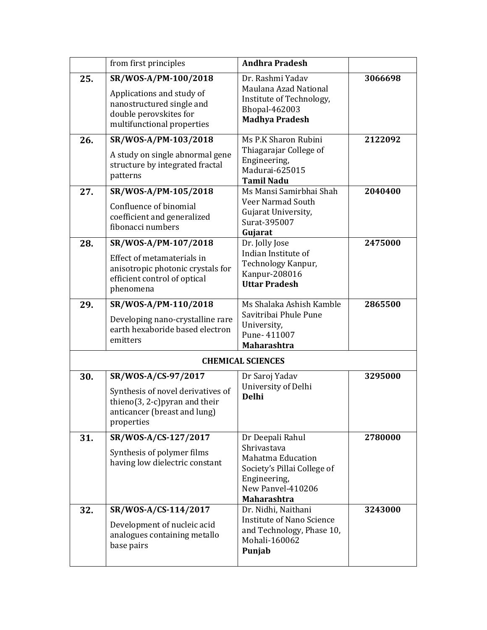|     | from first principles                                                                                                                    | <b>Andhra Pradesh</b>                                                                                                                                 |         |
|-----|------------------------------------------------------------------------------------------------------------------------------------------|-------------------------------------------------------------------------------------------------------------------------------------------------------|---------|
| 25. | SR/WOS-A/PM-100/2018<br>Applications and study of<br>nanostructured single and<br>double perovskites for<br>multifunctional properties   | Dr. Rashmi Yadav<br>Maulana Azad National<br>Institute of Technology,<br>Bhopal-462003<br><b>Madhya Pradesh</b>                                       | 3066698 |
| 26. | SR/WOS-A/PM-103/2018<br>A study on single abnormal gene<br>structure by integrated fractal<br>patterns                                   | Ms P.K Sharon Rubini<br>Thiagarajar College of<br>Engineering,<br>Madurai-625015<br><b>Tamil Nadu</b>                                                 | 2122092 |
| 27. | SR/WOS-A/PM-105/2018<br>Confluence of binomial<br>coefficient and generalized<br>fibonacci numbers                                       | Ms Mansi Samirbhai Shah<br>Veer Narmad South<br>Gujarat University,<br>Surat-395007<br>Gujarat                                                        | 2040400 |
| 28. | SR/WOS-A/PM-107/2018<br>Effect of metamaterials in<br>anisotropic photonic crystals for<br>efficient control of optical<br>phenomena     | Dr. Jolly Jose<br>Indian Institute of<br>Technology Kanpur,<br>Kanpur-208016<br><b>Uttar Pradesh</b>                                                  | 2475000 |
| 29. | SR/WOS-A/PM-110/2018<br>Developing nano-crystalline rare<br>earth hexaboride based electron<br>emitters                                  | Ms Shalaka Ashish Kamble<br>Savitribai Phule Pune<br>University,<br>Pune-411007<br><b>Maharashtra</b>                                                 | 2865500 |
|     |                                                                                                                                          | <b>CHEMICAL SCIENCES</b>                                                                                                                              |         |
| 30. | SR/WOS-A/CS-97/2017<br>Synthesis of novel derivatives of<br>thieno(3, 2-c) pyran and their<br>anticancer (breast and lung)<br>properties | Dr Saroj Yadav<br>University of Delhi<br><b>Delhi</b>                                                                                                 | 3295000 |
| 31. | SR/WOS-A/CS-127/2017<br>Synthesis of polymer films<br>having low dielectric constant                                                     | Dr Deepali Rahul<br>Shrivastava<br><b>Mahatma Education</b><br>Society's Pillai College of<br>Engineering,<br>New Panyel-410206<br><b>Maharashtra</b> | 2780000 |
| 32. | SR/WOS-A/CS-114/2017<br>Development of nucleic acid<br>analogues containing metallo<br>base pairs                                        | Dr. Nidhi, Naithani<br><b>Institute of Nano Science</b><br>and Technology, Phase 10,<br>Mohali-160062<br>Punjab                                       | 3243000 |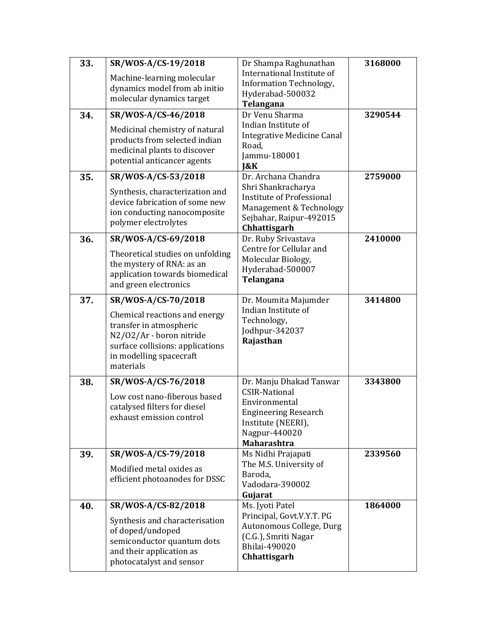| 33. | SR/WOS-A/CS-19/2018                                           | Dr Shampa Raghunathan                           | 3168000 |
|-----|---------------------------------------------------------------|-------------------------------------------------|---------|
|     | Machine-learning molecular                                    | International Institute of                      |         |
|     | dynamics model from ab initio                                 | <b>Information Technology,</b>                  |         |
|     | molecular dynamics target                                     | Hyderabad-500032<br>Telangana                   |         |
| 34. | SR/WOS-A/CS-46/2018                                           | Dr Venu Sharma                                  | 3290544 |
|     |                                                               | Indian Institute of                             |         |
|     | Medicinal chemistry of natural                                | <b>Integrative Medicine Canal</b>               |         |
|     | products from selected indian<br>medicinal plants to discover | Road,                                           |         |
|     | potential anticancer agents                                   | Jammu-180001                                    |         |
|     |                                                               | 1&K                                             |         |
| 35. | SR/WOS-A/CS-53/2018                                           | Dr. Archana Chandra                             | 2759000 |
|     | Synthesis, characterization and                               | Shri Shankracharya<br>Institute of Professional |         |
|     | device fabrication of some new                                | Management & Technology                         |         |
|     | ion conducting nanocomposite                                  | Sejbahar, Raipur-492015                         |         |
|     | polymer electrolytes                                          | Chhattisgarh                                    |         |
| 36. | SR/WOS-A/CS-69/2018                                           | Dr. Ruby Srivastava                             | 2410000 |
|     | Theoretical studies on unfolding                              | Centre for Cellular and                         |         |
|     | the mystery of RNA: as an                                     | Molecular Biology,                              |         |
|     | application towards biomedical                                | Hyderabad-500007<br>Telangana                   |         |
|     | and green electronics                                         |                                                 |         |
| 37. | SR/WOS-A/CS-70/2018                                           | Dr. Moumita Majumder                            | 3414800 |
|     | Chemical reactions and energy                                 | Indian Institute of                             |         |
|     | transfer in atmospheric                                       | Technology,                                     |         |
|     | N2/02/Ar - boron nitride                                      | Jodhpur-342037                                  |         |
|     | surface collisions: applications                              | Rajasthan                                       |         |
|     | in modelling spacecraft                                       |                                                 |         |
|     | materials                                                     |                                                 |         |
| 38. | SR/WOS-A/CS-76/2018                                           | Dr. Manju Dhakad Tanwar                         | 3343800 |
|     | Low cost nano-fiberous based                                  | <b>CSIR-National</b>                            |         |
|     | catalysed filters for diesel                                  | Environmental<br><b>Engineering Research</b>    |         |
|     | exhaust emission control                                      | Institute (NEERI),                              |         |
|     |                                                               | Nagpur-440020                                   |         |
|     |                                                               | <b>Maharashtra</b>                              |         |
| 39. | SR/WOS-A/CS-79/2018                                           | Ms Nidhi Prajapati                              | 2339560 |
|     | Modified metal oxides as                                      | The M.S. University of                          |         |
|     | efficient photoanodes for DSSC                                | Baroda,<br>Vadodara-390002                      |         |
|     |                                                               | Gujarat                                         |         |
| 40. | SR/WOS-A/CS-82/2018                                           | Ms. Jyoti Patel                                 | 1864000 |
|     | Synthesis and characterisation                                | Principal, Govt.V.Y.T. PG                       |         |
|     | of doped/undoped                                              | Autonomous College, Durg                        |         |
|     | semiconductor quantum dots                                    | (C.G.), Smriti Nagar                            |         |
|     | and their application as                                      | Bhilai-490020                                   |         |
|     | photocatalyst and sensor                                      | Chhattisgarh                                    |         |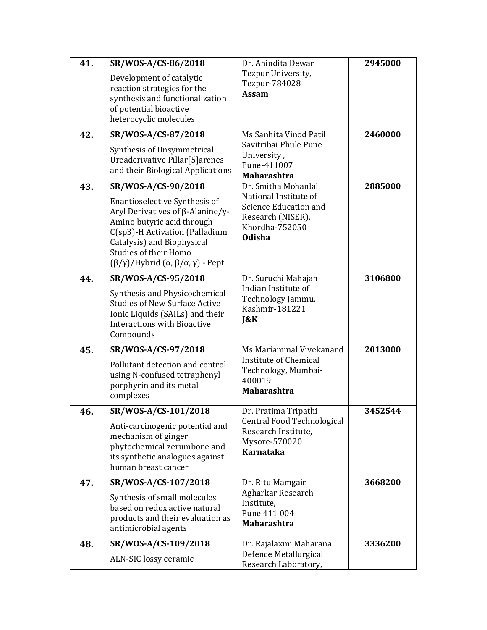| 41. | SR/WOS-A/CS-86/2018                                                                                                                                                                                                                                                          | Dr. Anindita Dewan                                                                                            | 2945000 |
|-----|------------------------------------------------------------------------------------------------------------------------------------------------------------------------------------------------------------------------------------------------------------------------------|---------------------------------------------------------------------------------------------------------------|---------|
|     | Development of catalytic<br>reaction strategies for the<br>synthesis and functionalization<br>of potential bioactive<br>heterocyclic molecules                                                                                                                               | Tezpur University,<br>Tezpur-784028<br><b>Assam</b>                                                           |         |
| 42. | SR/WOS-A/CS-87/2018                                                                                                                                                                                                                                                          | Ms Sanhita Vinod Patil<br>Savitribai Phule Pune                                                               | 2460000 |
|     | Synthesis of Unsymmetrical<br>Ureaderivative Pillar[5]arenes<br>and their Biological Applications                                                                                                                                                                            | University,<br>Pune-411007<br><b>Maharashtra</b>                                                              |         |
| 43. | SR/WOS-A/CS-90/2018                                                                                                                                                                                                                                                          | Dr. Smitha Mohanlal                                                                                           | 2885000 |
|     | Enantioselective Synthesis of<br>Aryl Derivatives of $\beta$ -Alanine/ $\gamma$ -<br>Amino butyric acid through<br>C(sp3)-H Activation (Palladium<br>Catalysis) and Biophysical<br>Studies of their Homo<br>$(\beta/\gamma)$ /Hybrid $(\alpha, \beta/\alpha, \gamma)$ - Pept | National Institute of<br><b>Science Education and</b><br>Research (NISER),<br>Khordha-752050<br><b>Odisha</b> |         |
| 44. | SR/WOS-A/CS-95/2018                                                                                                                                                                                                                                                          | Dr. Suruchi Mahajan                                                                                           | 3106800 |
|     | Synthesis and Physicochemical<br><b>Studies of New Surface Active</b><br>Ionic Liquids (SAILs) and their<br><b>Interactions with Bioactive</b><br>Compounds                                                                                                                  | Indian Institute of<br>Technology Jammu,<br>Kashmir-181221<br>J&K                                             |         |
| 45. | SR/WOS-A/CS-97/2018                                                                                                                                                                                                                                                          | Ms Mariammal Vivekanand                                                                                       | 2013000 |
|     | Pollutant detection and control<br>using N-confused tetraphenyl<br>porphyrin and its metal<br>complexes                                                                                                                                                                      | Institute of Chemical<br>Technology, Mumbai-<br>400019<br><b>Maharashtra</b>                                  |         |
| 46. | SR/WOS-A/CS-101/2018                                                                                                                                                                                                                                                         | Dr. Pratima Tripathi                                                                                          | 3452544 |
|     | Anti-carcinogenic potential and<br>mechanism of ginger<br>phytochemical zerumbone and<br>its synthetic analogues against<br>human breast cancer                                                                                                                              | Central Food Technological<br>Research Institute,<br>Mysore-570020<br><b>Karnataka</b>                        |         |
| 47. | SR/WOS-A/CS-107/2018                                                                                                                                                                                                                                                         | Dr. Ritu Mamgain                                                                                              | 3668200 |
|     | Synthesis of small molecules<br>based on redox active natural<br>products and their evaluation as<br>antimicrobial agents                                                                                                                                                    | Agharkar Research<br>Institute,<br>Pune 411 004<br><b>Maharashtra</b>                                         |         |
| 48. | SR/WOS-A/CS-109/2018                                                                                                                                                                                                                                                         | Dr. Rajalaxmi Maharana                                                                                        | 3336200 |
|     | ALN-SIC lossy ceramic                                                                                                                                                                                                                                                        | Defence Metallurgical<br>Research Laboratory,                                                                 |         |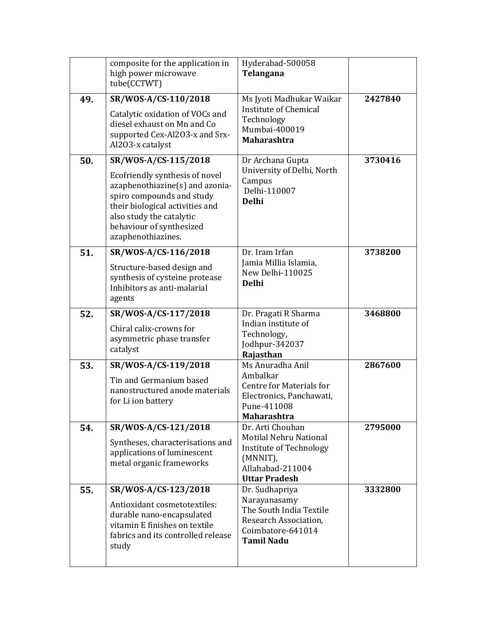|     | composite for the application in<br>high power microwave<br>tube(CCTWT)                                                                                                                                                                 | Hyderabad-500058<br>Telangana                                                                                                 |         |
|-----|-----------------------------------------------------------------------------------------------------------------------------------------------------------------------------------------------------------------------------------------|-------------------------------------------------------------------------------------------------------------------------------|---------|
| 49. | SR/WOS-A/CS-110/2018<br>Catalytic oxidation of VOCs and<br>diesel exhaust on Mn and Co<br>supported Cex-Al2O3-x and Srx-<br>Al2O3-x catalyst                                                                                            | Ms Jyoti Madhukar Waikar<br><b>Institute of Chemical</b><br>Technology<br>Mumbai-400019<br><b>Maharashtra</b>                 | 2427840 |
| 50. | SR/WOS-A/CS-115/2018<br>Ecofriendly synthesis of novel<br>azaphenothiazine(s) and azonia-<br>spiro compounds and study<br>their biological activities and<br>also study the catalytic<br>behaviour of synthesized<br>azaphenothiazines. | Dr Archana Gupta<br>University of Delhi, North<br>Campus<br>Delhi-110007<br><b>Delhi</b>                                      | 3730416 |
| 51. | SR/WOS-A/CS-116/2018<br>Structure-based design and<br>synthesis of cysteine protease<br>Inhibitors as anti-malarial<br>agents                                                                                                           | Dr. Iram Irfan<br>Jamia Millia Islamia,<br>New Delhi-110025<br><b>Delhi</b>                                                   | 3738200 |
| 52. | SR/WOS-A/CS-117/2018<br>Chiral calix-crowns for<br>asymmetric phase transfer<br>catalyst                                                                                                                                                | Dr. Pragati R Sharma<br>Indian institute of<br>Technology,<br>Jodhpur-342037<br>Rajasthan                                     | 3468800 |
| 53. | SR/WOS-A/CS-119/2018<br>Tin and Germanium based<br>nanostructured anode materials<br>for Li ion battery                                                                                                                                 | Ms Anuradha Anil<br>Ambalkar<br>Centre for Materials for<br>Electronics, Panchawati,<br>Pune-411008<br>Maharashtra            | 2867600 |
| 54. | SR/WOS-A/CS-121/2018<br>Syntheses, characterisations and<br>applications of luminescent<br>metal organic frameworks                                                                                                                     | Dr. Arti Chouhan<br>Motilal Nehru National<br>Institute of Technology<br>(MNNIT),<br>Allahabad-211004<br><b>Uttar Pradesh</b> | 2795000 |
| 55. | SR/WOS-A/CS-123/2018<br>Antioxidant cosmetotextiles:<br>durable nano-encapsulated<br>vitamin E finishes on textile<br>fabrics and its controlled release<br>study                                                                       | Dr. Sudhapriya<br>Narayanasamy<br>The South India Textile<br>Research Association,<br>Coimbatore-641014<br><b>Tamil Nadu</b>  | 3332800 |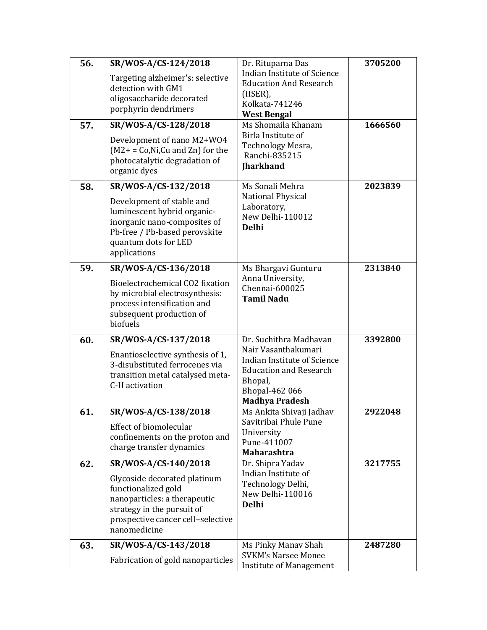| 56. | SR/WOS-A/CS-124/2018                                                                                                                                                   | Dr. Rituparna Das                                                                                                                         | 3705200 |
|-----|------------------------------------------------------------------------------------------------------------------------------------------------------------------------|-------------------------------------------------------------------------------------------------------------------------------------------|---------|
|     | Targeting alzheimer's: selective<br>detection with GM1<br>oligosaccharide decorated<br>porphyrin dendrimers                                                            | Indian Institute of Science<br><b>Education And Research</b><br>(IISER),<br>Kolkata-741246<br><b>West Bengal</b>                          |         |
| 57. | SR/WOS-A/CS-128/2018                                                                                                                                                   | Ms Shomaila Khanam                                                                                                                        | 1666560 |
|     | Development of nano M2+W04<br>$(M2 + C_0,Ni,Cu$ and Zn) for the<br>photocatalytic degradation of<br>organic dyes                                                       | Birla Institute of<br>Technology Mesra,<br>Ranchi-835215<br><b>Iharkhand</b>                                                              |         |
| 58. | SR/WOS-A/CS-132/2018                                                                                                                                                   | Ms Sonali Mehra                                                                                                                           | 2023839 |
|     | Development of stable and<br>luminescent hybrid organic-<br>inorganic nano-composites of<br>Pb-free / Pb-based perovskite<br>quantum dots for LED<br>applications      | National Physical<br>Laboratory,<br>New Delhi-110012<br><b>Delhi</b>                                                                      |         |
| 59. | SR/WOS-A/CS-136/2018                                                                                                                                                   | Ms Bhargavi Gunturu                                                                                                                       | 2313840 |
|     | Bioelectrochemical CO2 fixation<br>by microbial electrosynthesis:<br>process intensification and<br>subsequent production of<br>biofuels                               | Anna University,<br>Chennai-600025<br><b>Tamil Nadu</b>                                                                                   |         |
| 60. | SR/WOS-A/CS-137/2018                                                                                                                                                   | Dr. Suchithra Madhavan                                                                                                                    | 3392800 |
|     | Enantioselective synthesis of 1,<br>3-disubstituted ferrocenes via<br>transition metal catalysed meta-<br>C-H activation                                               | Nair Vasanthakumari<br>Indian Institute of Science<br><b>Education and Research</b><br>Bhopal,<br>Bhopal-462 066<br><b>Madhya Pradesh</b> |         |
| 61. | SR/WOS-A/CS-138/2018                                                                                                                                                   | Ms Ankita Shivaji Jadhav                                                                                                                  | 2922048 |
|     | Effect of biomolecular<br>confinements on the proton and<br>charge transfer dynamics                                                                                   | Savitribai Phule Pune<br>University<br>Pune-411007<br><b>Maharashtra</b>                                                                  |         |
| 62. | SR/WOS-A/CS-140/2018                                                                                                                                                   | Dr. Shipra Yadav                                                                                                                          | 3217755 |
|     | Glycoside decorated platinum<br>functionalized gold<br>nanoparticles: a therapeutic<br>strategy in the pursuit of<br>prospective cancer cell-selective<br>nanomedicine | Indian Institute of<br>Technology Delhi,<br>New Delhi-110016<br><b>Delhi</b>                                                              |         |
| 63. | SR/WOS-A/CS-143/2018                                                                                                                                                   | Ms Pinky Manav Shah                                                                                                                       | 2487280 |
|     | Fabrication of gold nanoparticles                                                                                                                                      | <b>SVKM's Narsee Monee</b><br><b>Institute of Management</b>                                                                              |         |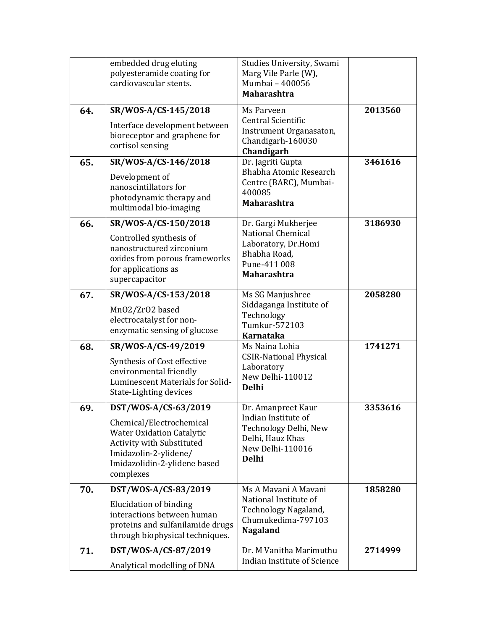|     | embedded drug eluting<br>polyesteramide coating for<br>cardiovascular stents.                                                                                                           | Studies University, Swami<br>Marg Vile Parle (W),<br>Mumbai - 400056<br><b>Maharashtra</b>                                 |         |
|-----|-----------------------------------------------------------------------------------------------------------------------------------------------------------------------------------------|----------------------------------------------------------------------------------------------------------------------------|---------|
| 64. | SR/WOS-A/CS-145/2018<br>Interface development between<br>bioreceptor and graphene for<br>cortisol sensing                                                                               | Ms Parveen<br>Central Scientific<br>Instrument Organasaton,<br>Chandigarh-160030<br>Chandigarh                             | 2013560 |
| 65. | SR/WOS-A/CS-146/2018<br>Development of<br>nanoscintillators for<br>photodynamic therapy and<br>multimodal bio-imaging                                                                   | Dr. Jagriti Gupta<br>Bhabha Atomic Research<br>Centre (BARC), Mumbai-<br>400085<br><b>Maharashtra</b>                      | 3461616 |
| 66. | SR/WOS-A/CS-150/2018<br>Controlled synthesis of<br>nanostructured zirconium<br>oxides from porous frameworks<br>for applications as<br>supercapacitor                                   | Dr. Gargi Mukherjee<br>National Chemical<br>Laboratory, Dr.Homi<br>Bhabha Road,<br>Pune-411 008<br><b>Maharashtra</b>      | 3186930 |
| 67. | SR/WOS-A/CS-153/2018<br>Mn02/Zr02 based<br>electrocatalyst for non-<br>enzymatic sensing of glucose                                                                                     | Ms SG Manjushree<br>Siddaganga Institute of<br>Technology<br>Tumkur-572103<br>Karnataka                                    | 2058280 |
| 68. | SR/WOS-A/CS-49/2019<br>Synthesis of Cost effective<br>environmental friendly<br>Luminescent Materials for Solid-<br>State-Lighting devices                                              | Ms Naina Lohia<br><b>CSIR-National Physical</b><br>Laboratory<br>New Delhi-110012<br><b>Delhi</b>                          | 1741271 |
| 69. | DST/WOS-A/CS-63/2019<br>Chemical/Electrochemical<br><b>Water Oxidation Catalytic</b><br>Activity with Substituted<br>Imidazolin-2-ylidene/<br>Imidazolidin-2-ylidene based<br>complexes | Dr. Amanpreet Kaur<br>Indian Institute of<br>Technology Delhi, New<br>Delhi, Hauz Khas<br>New Delhi-110016<br><b>Delhi</b> | 3353616 |
| 70. | DST/WOS-A/CS-83/2019<br>Elucidation of binding<br>interactions between human<br>proteins and sulfanilamide drugs<br>through biophysical techniques.                                     | Ms A Mayani A Mayani<br>National Institute of<br>Technology Nagaland,<br>Chumukedima-797103<br><b>Nagaland</b>             | 1858280 |
| 71. | DST/WOS-A/CS-87/2019<br>Analytical modelling of DNA                                                                                                                                     | Dr. M Vanitha Marimuthu<br>Indian Institute of Science                                                                     | 2714999 |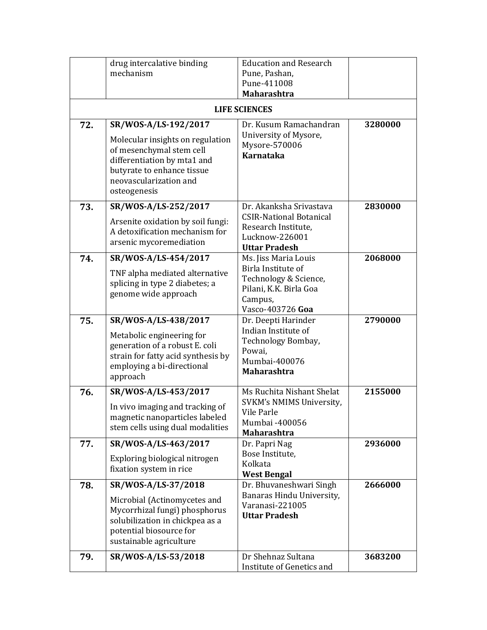|     | drug intercalative binding                                                                                                                                          | <b>Education and Research</b>                                                                        |         |
|-----|---------------------------------------------------------------------------------------------------------------------------------------------------------------------|------------------------------------------------------------------------------------------------------|---------|
|     | mechanism                                                                                                                                                           | Pune, Pashan,                                                                                        |         |
|     |                                                                                                                                                                     | Pune-411008                                                                                          |         |
|     |                                                                                                                                                                     | <b>Maharashtra</b>                                                                                   |         |
|     |                                                                                                                                                                     | <b>LIFE SCIENCES</b>                                                                                 |         |
| 72. | SR/WOS-A/LS-192/2017                                                                                                                                                | Dr. Kusum Ramachandran                                                                               | 3280000 |
|     | Molecular insights on regulation<br>of mesenchymal stem cell<br>differentiation by mta1 and<br>butyrate to enhance tissue<br>neovascularization and<br>osteogenesis | University of Mysore,<br>Mysore-570006<br><b>Karnataka</b>                                           |         |
| 73. | SR/WOS-A/LS-252/2017                                                                                                                                                | Dr. Akanksha Srivastava                                                                              | 2830000 |
|     | Arsenite oxidation by soil fungi:<br>A detoxification mechanism for<br>arsenic mycoremediation                                                                      | <b>CSIR-National Botanical</b><br>Research Institute,<br>Lucknow-226001<br><b>Uttar Pradesh</b>      |         |
| 74. | SR/WOS-A/LS-454/2017                                                                                                                                                | Ms. Jiss Maria Louis                                                                                 | 2068000 |
|     | TNF alpha mediated alternative<br>splicing in type 2 diabetes; a<br>genome wide approach                                                                            | Birla Institute of<br>Technology & Science,<br>Pilani, K.K. Birla Goa<br>Campus,<br>Vasco-403726 Goa |         |
| 75. | SR/WOS-A/LS-438/2017                                                                                                                                                | Dr. Deepti Harinder                                                                                  | 2790000 |
|     | Metabolic engineering for<br>generation of a robust E. coli<br>strain for fatty acid synthesis by<br>employing a bi-directional<br>approach                         | Indian Institute of<br>Technology Bombay,<br>Powai,<br>Mumbai-400076<br>Maharashtra                  |         |
| 76. | SR/WOS-A/LS-453/2017                                                                                                                                                | Ms Ruchita Nishant Shelat                                                                            | 2155000 |
|     | In vivo imaging and tracking of<br>magnetic nanoparticles labeled<br>stem cells using dual modalities                                                               | SVKM's NMIMS University,<br>Vile Parle<br>Mumbai -400056<br><b>Maharashtra</b>                       |         |
| 77. | SR/WOS-A/LS-463/2017                                                                                                                                                | Dr. Papri Nag                                                                                        | 2936000 |
|     | Exploring biological nitrogen<br>fixation system in rice                                                                                                            | Bose Institute,<br>Kolkata<br><b>West Bengal</b>                                                     |         |
| 78. | SR/WOS-A/LS-37/2018                                                                                                                                                 | Dr. Bhuvaneshwari Singh                                                                              | 2666000 |
|     | Microbial (Actinomycetes and<br>Mycorrhizal fungi) phosphorus<br>solubilization in chickpea as a<br>potential biosource for<br>sustainable agriculture              | Banaras Hindu University,<br>Varanasi-221005<br><b>Uttar Pradesh</b>                                 |         |
| 79. | SR/WOS-A/LS-53/2018                                                                                                                                                 | Dr Shehnaz Sultana<br>Institute of Genetics and                                                      | 3683200 |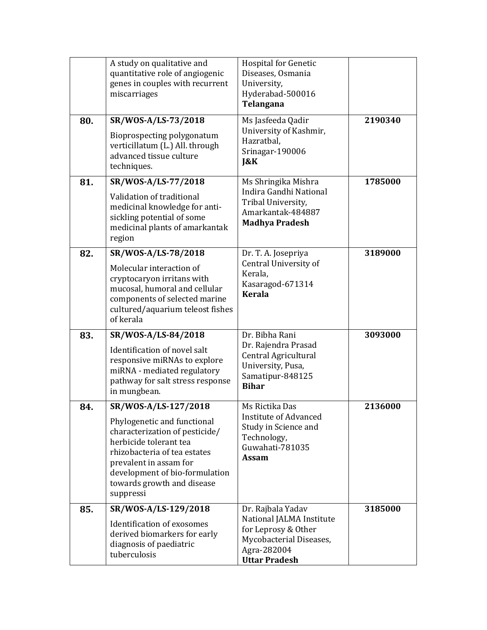|     | A study on qualitative and<br>quantitative role of angiogenic<br>genes in couples with recurrent<br>miscarriages                                                                                                                                       | <b>Hospital for Genetic</b><br>Diseases, Osmania<br>University,<br>Hyderabad-500016<br>Telangana                                       |         |
|-----|--------------------------------------------------------------------------------------------------------------------------------------------------------------------------------------------------------------------------------------------------------|----------------------------------------------------------------------------------------------------------------------------------------|---------|
| 80. | SR/WOS-A/LS-73/2018<br>Bioprospecting polygonatum<br>verticillatum (L.) All. through<br>advanced tissue culture<br>techniques.                                                                                                                         | Ms Jasfeeda Qadir<br>University of Kashmir,<br>Hazratbal,<br>Srinagar-190006<br>J&K                                                    | 2190340 |
| 81. | SR/WOS-A/LS-77/2018<br>Validation of traditional<br>medicinal knowledge for anti-<br>sickling potential of some<br>medicinal plants of amarkantak<br>region                                                                                            | Ms Shringika Mishra<br>Indira Gandhi National<br>Tribal University,<br>Amarkantak-484887<br><b>Madhya Pradesh</b>                      | 1785000 |
| 82. | SR/WOS-A/LS-78/2018<br>Molecular interaction of<br>cryptocaryon irritans with<br>mucosal, humoral and cellular<br>components of selected marine<br>cultured/aquarium teleost fishes<br>of kerala                                                       | Dr. T. A. Josepriya<br>Central University of<br>Kerala,<br>Kasaragod-671314<br><b>Kerala</b>                                           | 3189000 |
| 83. | SR/WOS-A/LS-84/2018<br>Identification of novel salt<br>responsive miRNAs to explore<br>miRNA - mediated regulatory<br>pathway for salt stress response<br>in mungbean.                                                                                 | Dr. Bibha Rani<br>Dr. Rajendra Prasad<br>Central Agricultural<br>University, Pusa,<br>Samatipur-848125<br><b>Bihar</b>                 | 3093000 |
| 84. | SR/WOS-A/LS-127/2018<br>Phylogenetic and functional<br>characterization of pesticide/<br>herbicide tolerant tea<br>rhizobacteria of tea estates<br>prevalent in assam for<br>development of bio-formulation<br>towards growth and disease<br>suppressi | Ms Rictika Das<br><b>Institute of Advanced</b><br>Study in Science and<br>Technology,<br>Guwahati-781035<br><b>Assam</b>               | 2136000 |
| 85. | SR/WOS-A/LS-129/2018<br>Identification of exosomes<br>derived biomarkers for early<br>diagnosis of paediatric<br>tuberculosis                                                                                                                          | Dr. Rajbala Yadav<br>National JALMA Institute<br>for Leprosy & Other<br>Mycobacterial Diseases,<br>Agra-282004<br><b>Uttar Pradesh</b> | 3185000 |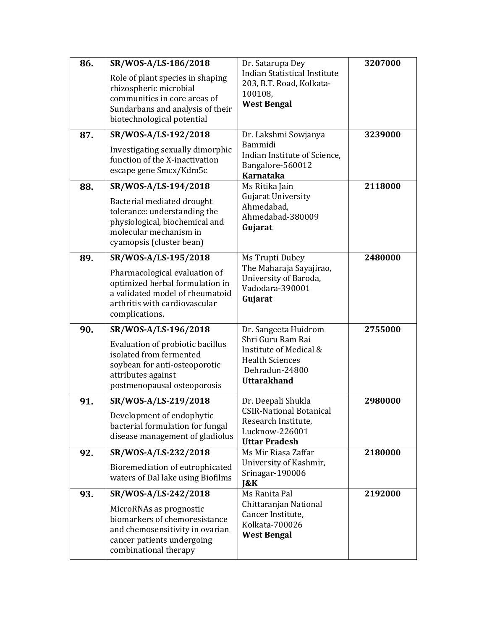| 86. | SR/WOS-A/LS-186/2018                                                                                                                                         | Dr. Satarupa Dey                                                                                              | 3207000 |
|-----|--------------------------------------------------------------------------------------------------------------------------------------------------------------|---------------------------------------------------------------------------------------------------------------|---------|
|     | Role of plant species in shaping<br>rhizospheric microbial<br>communities in core areas of<br>Sundarbans and analysis of their<br>biotechnological potential | <b>Indian Statistical Institute</b><br>203, B.T. Road, Kolkata-<br>100108,<br><b>West Bengal</b>              |         |
| 87. | SR/WOS-A/LS-192/2018                                                                                                                                         | Dr. Lakshmi Sowjanya<br>Bammidi                                                                               | 3239000 |
|     | Investigating sexually dimorphic<br>function of the X-inactivation<br>escape gene Smcx/Kdm5c                                                                 | Indian Institute of Science,<br>Bangalore-560012<br><b>Karnataka</b>                                          |         |
| 88. | SR/WOS-A/LS-194/2018                                                                                                                                         | Ms Ritika Jain                                                                                                | 2118000 |
|     | Bacterial mediated drought<br>tolerance: understanding the<br>physiological, biochemical and<br>molecular mechanism in<br>cyamopsis (cluster bean)           | <b>Gujarat University</b><br>Ahmedabad,<br>Ahmedabad-380009<br>Gujarat                                        |         |
| 89. | SR/WOS-A/LS-195/2018                                                                                                                                         | Ms Trupti Dubey                                                                                               | 2480000 |
|     | Pharmacological evaluation of<br>optimized herbal formulation in<br>a validated model of rheumatoid<br>arthritis with cardiovascular<br>complications.       | The Maharaja Sayajirao,<br>University of Baroda,<br>Vadodara-390001<br>Gujarat                                |         |
| 90. | SR/WOS-A/LS-196/2018                                                                                                                                         | Dr. Sangeeta Huidrom                                                                                          | 2755000 |
|     | Evaluation of probiotic bacillus<br>isolated from fermented<br>soybean for anti-osteoporotic<br>attributes against<br>postmenopausal osteoporosis            | Shri Guru Ram Rai<br>Institute of Medical &<br><b>Health Sciences</b><br>Dehradun-24800<br><b>Uttarakhand</b> |         |
| 91. | SR/WOS-A/LS-219/2018                                                                                                                                         | Dr. Deepali Shukla                                                                                            | 2980000 |
|     | Development of endophytic<br>bacterial formulation for fungal<br>disease management of gladiolus                                                             | <b>CSIR-National Botanical</b><br>Research Institute,<br>Lucknow-226001<br><b>Uttar Pradesh</b>               |         |
| 92. | SR/WOS-A/LS-232/2018                                                                                                                                         | Ms Mir Riasa Zaffar                                                                                           | 2180000 |
|     | Bioremediation of eutrophicated<br>waters of Dal lake using Biofilms                                                                                         | University of Kashmir,<br>Srinagar-190006<br>$\&K$                                                            |         |
| 93. | SR/WOS-A/LS-242/2018                                                                                                                                         | Ms Ranita Pal                                                                                                 | 2192000 |
|     | MicroRNAs as prognostic<br>biomarkers of chemoresistance<br>and chemosensitivity in ovarian<br>cancer patients undergoing<br>combinational therapy           | Chittaranjan National<br>Cancer Institute,<br>Kolkata-700026<br><b>West Bengal</b>                            |         |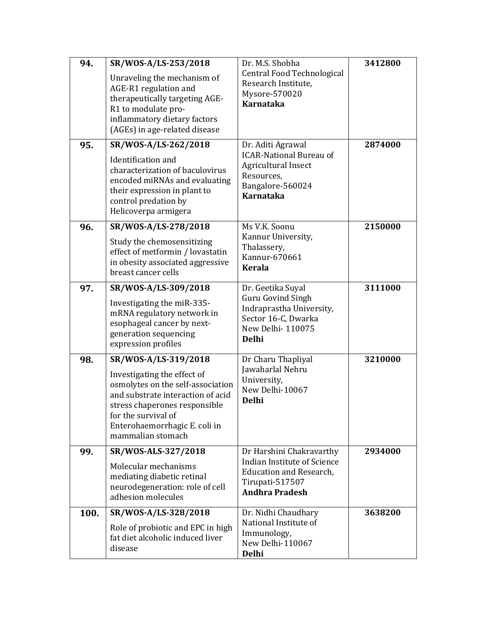| 94.<br>95. | SR/WOS-A/LS-253/2018<br>Unraveling the mechanism of<br>AGE-R1 regulation and<br>therapeutically targeting AGE-<br>R1 to modulate pro-<br>inflammatory dietary factors<br>(AGEs) in age-related disease<br>SR/WOS-A/LS-262/2018<br>Identification and<br>characterization of baculovirus<br>encoded miRNAs and evaluating<br>their expression in plant to<br>control predation by | Dr. M.S. Shobha<br>Central Food Technological<br>Research Institute,<br>Mysore-570020<br><b>Karnataka</b><br>Dr. Aditi Agrawal<br><b>ICAR-National Bureau of</b><br>Agricultural Insect<br>Resources,<br>Bangalore-560024<br><b>Karnataka</b> | 3412800<br>2874000 |
|------------|----------------------------------------------------------------------------------------------------------------------------------------------------------------------------------------------------------------------------------------------------------------------------------------------------------------------------------------------------------------------------------|-----------------------------------------------------------------------------------------------------------------------------------------------------------------------------------------------------------------------------------------------|--------------------|
| 96.        | Helicoverpa armigera<br>SR/WOS-A/LS-278/2018                                                                                                                                                                                                                                                                                                                                     | Ms V.K. Soonu                                                                                                                                                                                                                                 | 2150000            |
|            | Study the chemosensitizing<br>effect of metformin / lovastatin<br>in obesity associated aggressive<br>breast cancer cells                                                                                                                                                                                                                                                        | Kannur University,<br>Thalassery,<br>Kannur-670661<br><b>Kerala</b>                                                                                                                                                                           |                    |
| 97.        | SR/WOS-A/LS-309/2018                                                                                                                                                                                                                                                                                                                                                             | Dr. Geetika Suyal                                                                                                                                                                                                                             | 3111000            |
|            | Investigating the miR-335-<br>mRNA regulatory network in<br>esophageal cancer by next-<br>generation sequencing<br>expression profiles                                                                                                                                                                                                                                           | Guru Govind Singh<br>Indraprastha University,<br>Sector 16-C, Dwarka<br>New Delhi-110075<br><b>Delhi</b>                                                                                                                                      |                    |
| 98.        | SR/WOS-A/LS-319/2018                                                                                                                                                                                                                                                                                                                                                             | Dr Charu Thapliyal<br>Jawaharlal Nehru                                                                                                                                                                                                        | 3210000            |
|            | Investigating the effect of<br>osmolytes on the self-association<br>and substrate interaction of acid<br>stress chaperones responsible<br>for the survival of<br>Enterohaemorrhagic E. coli in<br>mammalian stomach                                                                                                                                                              | University,<br>New Delhi-10067<br><b>Delhi</b>                                                                                                                                                                                                |                    |
| 99.        | SR/WOS-ALS-327/2018                                                                                                                                                                                                                                                                                                                                                              | Dr Harshini Chakravarthy<br>Indian Institute of Science                                                                                                                                                                                       | 2934000            |
|            | Molecular mechanisms<br>mediating diabetic retinal<br>neurodegeneration: role of cell<br>adhesion molecules                                                                                                                                                                                                                                                                      | <b>Education and Research,</b><br>Tirupati-517507<br><b>Andhra Pradesh</b>                                                                                                                                                                    |                    |
| 100.       | SR/WOS-A/LS-328/2018<br>Role of probiotic and EPC in high<br>fat diet alcoholic induced liver<br>disease                                                                                                                                                                                                                                                                         | Dr. Nidhi Chaudhary<br>National Institute of<br>Immunology,<br>New Delhi-110067<br><b>Delhi</b>                                                                                                                                               | 3638200            |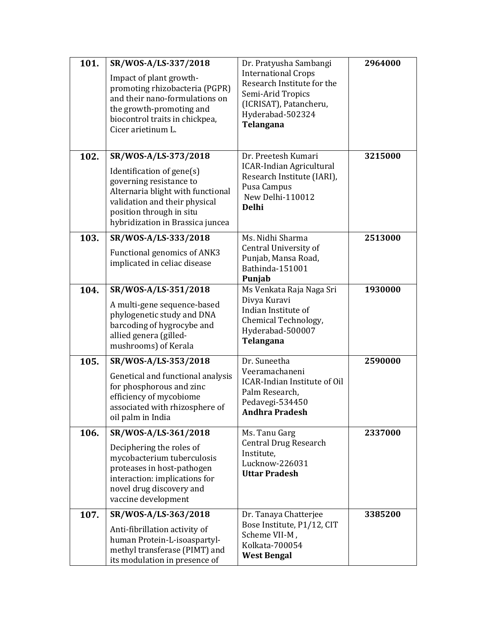| 101. | SR/WOS-A/LS-337/2018<br>Impact of plant growth-<br>promoting rhizobacteria (PGPR)<br>and their nano-formulations on<br>the growth-promoting and<br>biocontrol traits in chickpea,<br>Cicer arietinum L.            | Dr. Pratyusha Sambangi<br><b>International Crops</b><br>Research Institute for the<br>Semi-Arid Tropics<br>(ICRISAT), Patancheru,<br>Hyderabad-502324<br>Telangana | 2964000 |
|------|--------------------------------------------------------------------------------------------------------------------------------------------------------------------------------------------------------------------|--------------------------------------------------------------------------------------------------------------------------------------------------------------------|---------|
| 102. | SR/WOS-A/LS-373/2018<br>Identification of gene(s)<br>governing resistance to<br>Alternaria blight with functional<br>validation and their physical<br>position through in situ<br>hybridization in Brassica juncea | Dr. Preetesh Kumari<br><b>ICAR-Indian Agricultural</b><br>Research Institute (IARI),<br>Pusa Campus<br>New Delhi-110012<br><b>Delhi</b>                            | 3215000 |
| 103. | SR/WOS-A/LS-333/2018<br>Functional genomics of ANK3<br>implicated in celiac disease                                                                                                                                | Ms. Nidhi Sharma<br>Central University of<br>Punjab, Mansa Road,<br>Bathinda-151001<br>Punjab                                                                      | 2513000 |
| 104. | SR/WOS-A/LS-351/2018<br>A multi-gene sequence-based<br>phylogenetic study and DNA<br>barcoding of hygrocybe and<br>allied genera (gilled-<br>mushrooms) of Kerala                                                  | Ms Venkata Raja Naga Sri<br>Divya Kuravi<br>Indian Institute of<br>Chemical Technology,<br>Hyderabad-500007<br>Telangana                                           | 1930000 |
| 105. | SR/WOS-A/LS-353/2018<br>Genetical and functional analysis<br>for phosphorous and zinc<br>efficiency of mycobiome<br>associated with rhizosphere of<br>oil palm in India                                            | Dr. Suneetha<br>Veeramachaneni<br><b>ICAR-Indian Institute of Oil</b><br>Palm Research,<br>Pedavegi-534450<br><b>Andhra Pradesh</b>                                | 2590000 |
| 106. | SR/WOS-A/LS-361/2018<br>Deciphering the roles of<br>mycobacterium tuberculosis<br>proteases in host-pathogen<br>interaction: implications for<br>novel drug discovery and<br>vaccine development                   | Ms. Tanu Garg<br><b>Central Drug Research</b><br>Institute,<br>Lucknow-226031<br><b>Uttar Pradesh</b>                                                              | 2337000 |
| 107. | SR/WOS-A/LS-363/2018<br>Anti-fibrillation activity of<br>human Protein-L-isoaspartyl-<br>methyl transferase (PIMT) and<br>its modulation in presence of                                                            | Dr. Tanaya Chatterjee<br>Bose Institute, P1/12, CIT<br>Scheme VII-M,<br>Kolkata-700054<br><b>West Bengal</b>                                                       | 3385200 |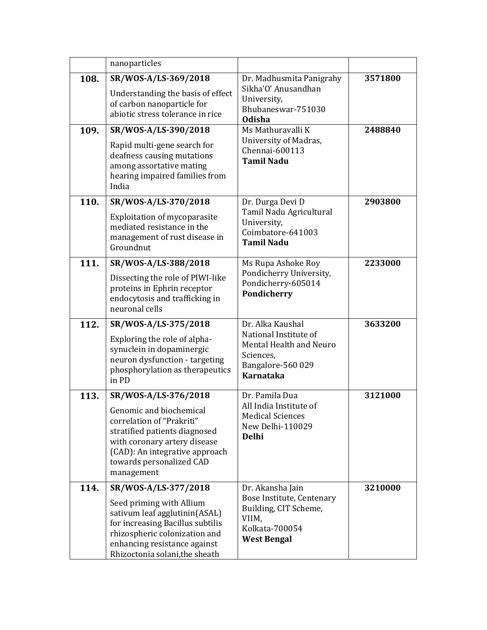|      | nanoparticles                                                                                                                                                                                                             |                                                                                                                            |         |
|------|---------------------------------------------------------------------------------------------------------------------------------------------------------------------------------------------------------------------------|----------------------------------------------------------------------------------------------------------------------------|---------|
| 108. | SR/WOS-A/LS-369/2018<br>Understanding the basis of effect<br>of carbon nanoparticle for<br>abiotic stress tolerance in rice                                                                                               | Dr. Madhusmita Panigrahy<br>Sikha'O' Anusandhan<br>University,<br>Bhubaneswar-751030<br><b>Odisha</b>                      | 3571800 |
| 109. | SR/WOS-A/LS-390/2018<br>Rapid multi-gene search for<br>deafness causing mutations<br>among assortative mating<br>hearing impaired families from<br>India                                                                  | Ms Mathuravalli K<br>University of Madras,<br>Chennai-600113<br><b>Tamil Nadu</b>                                          | 2488840 |
| 110. | SR/WOS-A/LS-370/2018<br>Exploitation of mycoparasite<br>mediated resistance in the<br>management of rust disease in<br>Groundnut                                                                                          | Dr. Durga Devi D<br>Tamil Nadu Agricultural<br>University,<br>Coimbatore-641003<br><b>Tamil Nadu</b>                       | 2903800 |
| 111. | SR/WOS-A/LS-388/2018<br>Dissecting the role of PIWI-like<br>proteins in Ephrin receptor<br>endocytosis and trafficking in<br>neuronal cells                                                                               | Ms Rupa Ashoke Roy<br>Pondicherry University,<br>Pondicherry-605014<br>Pondicherry                                         | 2233000 |
| 112. | SR/WOS-A/LS-375/2018<br>Exploring the role of alpha-<br>synuclein in dopaminergic<br>neuron dysfunction - targeting<br>phosphorylation as therapeutics<br>in PD                                                           | Dr. Alka Kaushal<br>National Institute of<br>Mental Health and Neuro<br>Sciences,<br>Bangalore-560 029<br><b>Karnataka</b> | 3633200 |
| 113. | SR/WOS-A/LS-376/2018<br>Genomic and biochemical<br>correlation of "Prakriti"<br>stratified patients diagnosed<br>with coronary artery disease<br>(CAD): An integrative approach<br>towards personalized CAD<br>management | Dr. Pamila Dua<br>All India Institute of<br><b>Medical Sciences</b><br>New Delhi-110029<br><b>Delhi</b>                    | 3121000 |
| 114. | SR/WOS-A/LS-377/2018<br>Seed priming with Allium<br>sativum leaf agglutinin(ASAL)<br>for increasing Bacillus subtilis<br>rhizospheric colonization and<br>enhancing resistance against<br>Rhizoctonia solani, the sheath  | Dr. Akansha Jain<br>Bose Institute, Centenary<br>Building, CIT Scheme,<br>VIIM,<br>Kolkata-700054<br><b>West Bengal</b>    | 3210000 |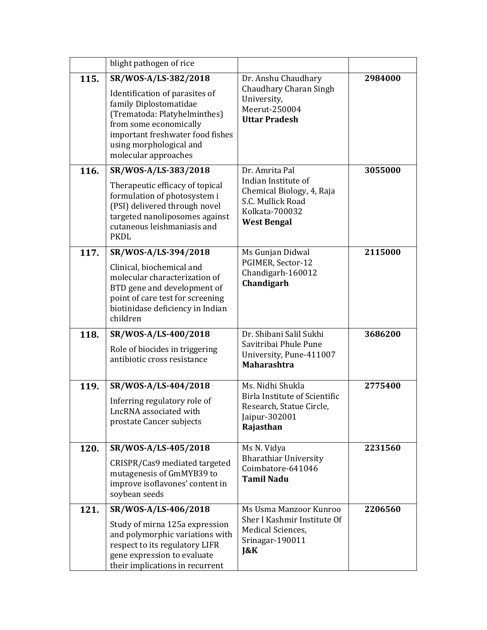|      | blight pathogen of rice                                                                                                                                                                                                           |                                                                                                                                 |         |
|------|-----------------------------------------------------------------------------------------------------------------------------------------------------------------------------------------------------------------------------------|---------------------------------------------------------------------------------------------------------------------------------|---------|
| 115. | SR/WOS-A/LS-382/2018<br>Identification of parasites of<br>family Diplostomatidae<br>(Trematoda: Platyhelminthes)<br>from some economically<br>important freshwater food fishes<br>using morphological and<br>molecular approaches | Dr. Anshu Chaudhary<br>Chaudhary Charan Singh<br>University,<br>Meerut-250004<br><b>Uttar Pradesh</b>                           | 2984000 |
| 116. | SR/WOS-A/LS-383/2018<br>Therapeutic efficacy of topical<br>formulation of photosystem i<br>(PSI) delivered through novel<br>targeted nanoliposomes against<br>cutaneous leishmaniasis and<br><b>PKDL</b>                          | Dr. Amrita Pal<br>Indian Institute of<br>Chemical Biology, 4, Raja<br>S.C. Mullick Road<br>Kolkata-700032<br><b>West Bengal</b> | 3055000 |
| 117. | SR/WOS-A/LS-394/2018<br>Clinical, biochemical and<br>molecular characterization of<br>BTD gene and development of<br>point of care test for screening<br>biotinidase deficiency in Indian<br>children                             | Ms Gunjan Didwal<br>PGIMER, Sector-12<br>Chandigarh-160012<br>Chandigarh                                                        | 2115000 |
| 118. | SR/WOS-A/LS-400/2018<br>Role of biocides in triggering<br>antibiotic cross resistance                                                                                                                                             | Dr. Shibani Salil Sukhi<br>Savitribai Phule Pune<br>University, Pune-411007<br><b>Maharashtra</b>                               | 3686200 |
| 119. | SR/WOS-A/LS-404/2018<br>Inferring regulatory role of<br>LncRNA associated with<br>prostate Cancer subjects                                                                                                                        | Ms. Nidhi Shukla<br>Birla Institute of Scientific<br>Research, Statue Circle,<br>Jaipur-302001<br>Rajasthan                     | 2775400 |
| 120. | SR/WOS-A/LS-405/2018<br>CRISPR/Cas9 mediated targeted<br>mutagenesis of GmMYB39 to<br>improve isoflavones' content in<br>soybean seeds                                                                                            | Ms N. Vidya<br><b>Bharathiar University</b><br>Coimbatore-641046<br><b>Tamil Nadu</b>                                           | 2231560 |
| 121. | SR/WOS-A/LS-406/2018<br>Study of mirna 125a expression<br>and polymorphic variations with<br>respect to its regulatory LIFR<br>gene expression to evaluate<br>their implications in recurrent                                     | Ms Usma Manzoor Kunroo<br>Sher I Kashmir Institute Of<br>Medical Sciences,<br>Srinagar-190011<br>J&K                            | 2206560 |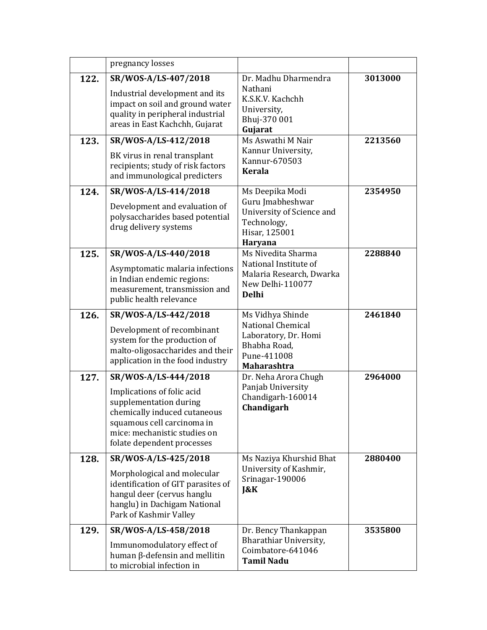|      | pregnancy losses                                                                                                                                                                                         |                                                                                                                           |         |
|------|----------------------------------------------------------------------------------------------------------------------------------------------------------------------------------------------------------|---------------------------------------------------------------------------------------------------------------------------|---------|
| 122. | SR/WOS-A/LS-407/2018<br>Industrial development and its<br>impact on soil and ground water<br>quality in peripheral industrial<br>areas in East Kachchh, Gujarat                                          | Dr. Madhu Dharmendra<br>Nathani<br>K.S.K.V. Kachchh<br>University,<br>Bhuj-370 001<br>Gujarat                             | 3013000 |
| 123. | SR/WOS-A/LS-412/2018<br>BK virus in renal transplant<br>recipients; study of risk factors<br>and immunological predicters                                                                                | Ms Aswathi M Nair<br>Kannur University,<br>Kannur-670503<br><b>Kerala</b>                                                 | 2213560 |
| 124. | SR/WOS-A/LS-414/2018<br>Development and evaluation of<br>polysaccharides based potential<br>drug delivery systems                                                                                        | Ms Deepika Modi<br>Guru Jmabheshwar<br>University of Science and<br>Technology,<br>Hisar, 125001<br>Haryana               | 2354950 |
| 125. | SR/WOS-A/LS-440/2018<br>Asymptomatic malaria infections<br>in Indian endemic regions:<br>measurement, transmission and<br>public health relevance                                                        | Ms Nivedita Sharma<br>National Institute of<br>Malaria Research, Dwarka<br>New Delhi-110077<br><b>Delhi</b>               | 2288840 |
| 126. | SR/WOS-A/LS-442/2018<br>Development of recombinant<br>system for the production of<br>malto-oligosaccharides and their<br>application in the food industry                                               | Ms Vidhya Shinde<br><b>National Chemical</b><br>Laboratory, Dr. Homi<br>Bhabha Road,<br>Pune-411008<br><b>Maharashtra</b> | 2461840 |
| 127. | SR/WOS-A/LS-444/2018<br>Implications of folic acid<br>supplementation during<br>chemically induced cutaneous<br>squamous cell carcinoma in<br>mice: mechanistic studies on<br>folate dependent processes | Dr. Neha Arora Chugh<br>Panjab University<br>Chandigarh-160014<br>Chandigarh                                              | 2964000 |
| 128. | SR/WOS-A/LS-425/2018<br>Morphological and molecular<br>identification of GIT parasites of<br>hangul deer (cervus hanglu<br>hanglu) in Dachigam National<br>Park of Kashmir Valley                        | Ms Naziya Khurshid Bhat<br>University of Kashmir,<br>Srinagar-190006<br>$\&K$                                             | 2880400 |
| 129. | SR/WOS-A/LS-458/2018<br>Immunomodulatory effect of<br>human $\beta$ -defensin and mellitin<br>to microbial infection in                                                                                  | Dr. Bency Thankappan<br>Bharathiar University,<br>Coimbatore-641046<br><b>Tamil Nadu</b>                                  | 3535800 |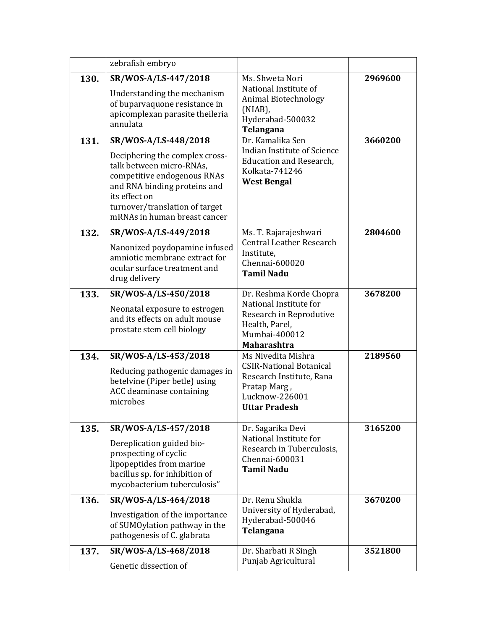|              | zebrafish embryo                                                                                                                                                                                                                                                                                          |                                                                                                                                                                                                                                           |                    |
|--------------|-----------------------------------------------------------------------------------------------------------------------------------------------------------------------------------------------------------------------------------------------------------------------------------------------------------|-------------------------------------------------------------------------------------------------------------------------------------------------------------------------------------------------------------------------------------------|--------------------|
| 130.<br>131. | SR/WOS-A/LS-447/2018<br>Understanding the mechanism<br>of buparvaquone resistance in<br>apicomplexan parasite theileria<br>annulata<br>SR/WOS-A/LS-448/2018<br>Deciphering the complex cross-<br>talk between micro-RNAs,<br>competitive endogenous RNAs<br>and RNA binding proteins and<br>its effect on | Ms. Shweta Nori<br>National Institute of<br>Animal Biotechnology<br>(NIAB),<br>Hyderabad-500032<br>Telangana<br>Dr. Kamalika Sen<br>Indian Institute of Science<br><b>Education and Research,</b><br>Kolkata-741246<br><b>West Bengal</b> | 2969600<br>3660200 |
| 132.         | turnover/translation of target<br>mRNAs in human breast cancer<br>SR/WOS-A/LS-449/2018                                                                                                                                                                                                                    | Ms. T. Rajarajeshwari                                                                                                                                                                                                                     | 2804600            |
|              | Nanonized poydopamine infused<br>amniotic membrane extract for<br>ocular surface treatment and<br>drug delivery                                                                                                                                                                                           | <b>Central Leather Research</b><br>Institute,<br>Chennai-600020<br><b>Tamil Nadu</b>                                                                                                                                                      |                    |
| 133.         | SR/WOS-A/LS-450/2018                                                                                                                                                                                                                                                                                      | Dr. Reshma Korde Chopra                                                                                                                                                                                                                   | 3678200            |
|              | Neonatal exposure to estrogen<br>and its effects on adult mouse<br>prostate stem cell biology                                                                                                                                                                                                             | National Institute for<br>Research in Reprodutive<br>Health, Parel,<br>Mumbai-400012<br><b>Maharashtra</b>                                                                                                                                |                    |
| 134.         | SR/WOS-A/LS-453/2018<br>Reducing pathogenic damages in<br>betelvine (Piper betle) using<br>ACC deaminase containing<br>microbes                                                                                                                                                                           | Ms Nivedita Mishra<br><b>CSIR-National Botanical</b><br>Research Institute, Rana<br>Pratap Marg,<br>Lucknow-226001<br><b>Uttar Pradesh</b>                                                                                                | 2189560            |
| 135.         | SR/WOS-A/LS-457/2018<br>Dereplication guided bio-<br>prospecting of cyclic<br>lipopeptides from marine<br>bacillus sp. for inhibition of<br>mycobacterium tuberculosis"                                                                                                                                   | Dr. Sagarika Devi<br>National Institute for<br>Research in Tuberculosis,<br>Chennai-600031<br><b>Tamil Nadu</b>                                                                                                                           | 3165200            |
| 136.         | SR/WOS-A/LS-464/2018<br>Investigation of the importance<br>of SUMOylation pathway in the<br>pathogenesis of C. glabrata                                                                                                                                                                                   | Dr. Renu Shukla<br>University of Hyderabad,<br>Hyderabad-500046<br>Telangana                                                                                                                                                              | 3670200            |
| 137.         | SR/WOS-A/LS-468/2018<br>Genetic dissection of                                                                                                                                                                                                                                                             | Dr. Sharbati R Singh<br>Punjab Agricultural                                                                                                                                                                                               | 3521800            |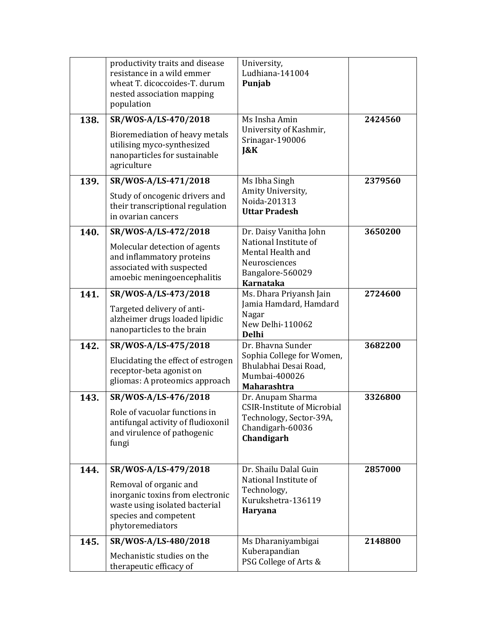|      | productivity traits and disease<br>resistance in a wild emmer<br>wheat T. dicoccoides-T. durum<br>nested association mapping<br>population                        | University,<br>Ludhiana-141004<br>Punjab                                                                                      |         |
|------|-------------------------------------------------------------------------------------------------------------------------------------------------------------------|-------------------------------------------------------------------------------------------------------------------------------|---------|
| 138. | SR/WOS-A/LS-470/2018<br>Bioremediation of heavy metals<br>utilising myco-synthesized<br>nanoparticles for sustainable<br>agriculture                              | Ms Insha Amin<br>University of Kashmir,<br>Srinagar-190006<br>$\&K$                                                           | 2424560 |
| 139. | SR/WOS-A/LS-471/2018<br>Study of oncogenic drivers and<br>their transcriptional regulation<br>in ovarian cancers                                                  | Ms Ibha Singh<br>Amity University,<br>Noida-201313<br><b>Uttar Pradesh</b>                                                    | 2379560 |
| 140. | SR/WOS-A/LS-472/2018<br>Molecular detection of agents<br>and inflammatory proteins<br>associated with suspected<br>amoebic meningoencephalitis                    | Dr. Daisy Vanitha John<br>National Institute of<br>Mental Health and<br>Neurosciences<br>Bangalore-560029<br><b>Karnataka</b> | 3650200 |
| 141. | SR/WOS-A/LS-473/2018<br>Targeted delivery of anti-<br>alzheimer drugs loaded lipidic<br>nanoparticles to the brain                                                | Ms. Dhara Priyansh Jain<br>Jamia Hamdard, Hamdard<br>Nagar<br>New Delhi-110062<br><b>Delhi</b>                                | 2724600 |
| 142. | SR/WOS-A/LS-475/2018<br>Elucidating the effect of estrogen<br>receptor-beta agonist on<br>gliomas: A proteomics approach                                          | Dr. Bhavna Sunder<br>Sophia College for Women,<br>Bhulabhai Desai Road,<br>Mumbai-400026<br><b>Maharashtra</b>                | 3682200 |
| 143. | SR/WOS-A/LS-476/2018<br>Role of vacuolar functions in<br>antifungal activity of fludioxonil<br>and virulence of pathogenic<br>fungi                               | Dr. Anupam Sharma<br><b>CSIR-Institute of Microbial</b><br>Technology, Sector-39A,<br>Chandigarh-60036<br>Chandigarh          | 3326800 |
| 144. | SR/WOS-A/LS-479/2018<br>Removal of organic and<br>inorganic toxins from electronic<br>waste using isolated bacterial<br>species and competent<br>phytoremediators | Dr. Shailu Dalal Guin<br>National Institute of<br>Technology,<br>Kurukshetra-136119<br>Haryana                                | 2857000 |
| 145. | SR/WOS-A/LS-480/2018<br>Mechanistic studies on the<br>therapeutic efficacy of                                                                                     | Ms Dharaniyambigai<br>Kuberapandian<br>PSG College of Arts &                                                                  | 2148800 |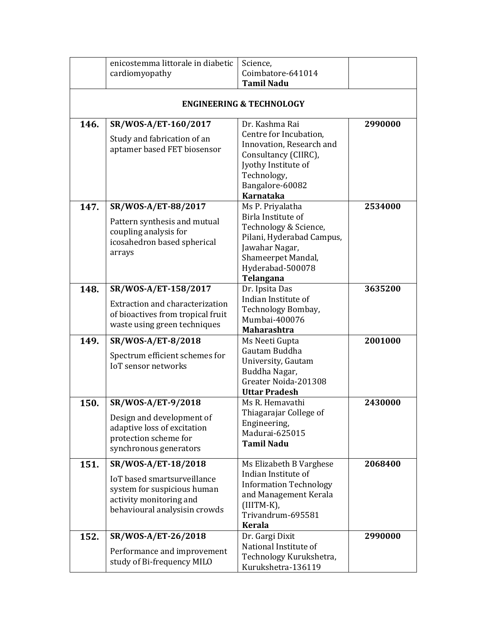|      | enicostemma littorale in diabetic                                                                                                             | Science,                                                                                                                                                                  |         |
|------|-----------------------------------------------------------------------------------------------------------------------------------------------|---------------------------------------------------------------------------------------------------------------------------------------------------------------------------|---------|
|      | cardiomyopathy                                                                                                                                | Coimbatore-641014<br><b>Tamil Nadu</b>                                                                                                                                    |         |
|      |                                                                                                                                               | <b>ENGINEERING &amp; TECHNOLOGY</b>                                                                                                                                       |         |
| 146. | SR/WOS-A/ET-160/2017<br>Study and fabrication of an<br>aptamer based FET biosensor                                                            | Dr. Kashma Rai<br>Centre for Incubation,<br>Innovation, Research and<br>Consultancy (CIIRC),<br>Jyothy Institute of<br>Technology,<br>Bangalore-60082<br><b>Karnataka</b> | 2990000 |
| 147. | SR/WOS-A/ET-88/2017<br>Pattern synthesis and mutual<br>coupling analysis for<br>icosahedron based spherical<br>arrays                         | Ms P. Priyalatha<br>Birla Institute of<br>Technology & Science,<br>Pilani, Hyderabad Campus,<br>Jawahar Nagar,<br>Shameerpet Mandal,<br>Hyderabad-500078<br>Telangana     | 2534000 |
| 148. | SR/WOS-A/ET-158/2017<br>Extraction and characterization<br>of bioactives from tropical fruit<br>waste using green techniques                  | Dr. Ipsita Das<br>Indian Institute of<br>Technology Bombay,<br>Mumbai-400076<br><b>Maharashtra</b>                                                                        | 3635200 |
| 149. | SR/WOS-A/ET-8/2018<br>Spectrum efficient schemes for<br><b>IoT</b> sensor networks                                                            | Ms Neeti Gupta<br>Gautam Buddha<br>University, Gautam<br>Buddha Nagar,<br>Greater Noida-201308<br><b>Uttar Pradesh</b>                                                    | 2001000 |
| 150. | SR/WOS-A/ET-9/2018<br>Design and development of<br>adaptive loss of excitation<br>protection scheme for<br>synchronous generators             | Ms R. Hemavathi<br>Thiagarajar College of<br>Engineering,<br>Madurai-625015<br><b>Tamil Nadu</b>                                                                          | 2430000 |
| 151. | SR/WOS-A/ET-18/2018<br>IoT based smartsurveillance<br>system for suspicious human<br>activity monitoring and<br>behavioural analysisin crowds | Ms Elizabeth B Varghese<br>Indian Institute of<br><b>Information Technology</b><br>and Management Kerala<br>$(IIITM-K),$<br>Trivandrum-695581<br><b>Kerala</b>            | 2068400 |
| 152. | SR/WOS-A/ET-26/2018<br>Performance and improvement<br>study of Bi-frequency MILO                                                              | Dr. Gargi Dixit<br>National Institute of<br>Technology Kurukshetra,<br>Kurukshetra-136119                                                                                 | 2990000 |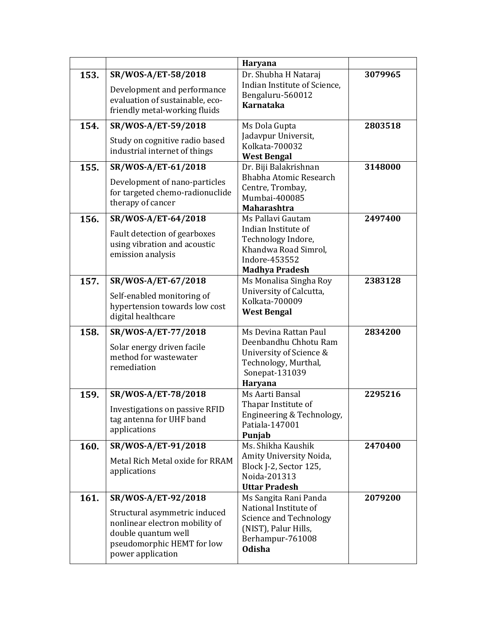|      |                                                                                                                                                                  | Haryana                                                                                                                               |         |
|------|------------------------------------------------------------------------------------------------------------------------------------------------------------------|---------------------------------------------------------------------------------------------------------------------------------------|---------|
| 153. | SR/WOS-A/ET-58/2018<br>Development and performance<br>evaluation of sustainable, eco-<br>friendly metal-working fluids                                           | Dr. Shubha H Nataraj<br>Indian Institute of Science,<br>Bengaluru-560012<br><b>Karnataka</b>                                          | 3079965 |
| 154. | SR/WOS-A/ET-59/2018<br>Study on cognitive radio based<br>industrial internet of things                                                                           | Ms Dola Gupta<br>Jadavpur Universit,<br>Kolkata-700032<br><b>West Bengal</b>                                                          | 2803518 |
| 155. | SR/WOS-A/ET-61/2018<br>Development of nano-particles<br>for targeted chemo-radionuclide<br>therapy of cancer                                                     | Dr. Biji Balakrishnan<br>Bhabha Atomic Research<br>Centre, Trombay,<br>Mumbai-400085<br><b>Maharashtra</b>                            | 3148000 |
| 156. | SR/WOS-A/ET-64/2018<br>Fault detection of gearboxes<br>using vibration and acoustic<br>emission analysis                                                         | Ms Pallavi Gautam<br>Indian Institute of<br>Technology Indore,<br>Khandwa Road Simrol,<br>Indore-453552<br><b>Madhya Pradesh</b>      | 2497400 |
| 157. | SR/WOS-A/ET-67/2018<br>Self-enabled monitoring of<br>hypertension towards low cost<br>digital healthcare                                                         | Ms Monalisa Singha Roy<br>University of Calcutta,<br>Kolkata-700009<br><b>West Bengal</b>                                             | 2383128 |
| 158. | SR/WOS-A/ET-77/2018<br>Solar energy driven facile<br>method for wastewater<br>remediation                                                                        | Ms Devina Rattan Paul<br>Deenbandhu Chhotu Ram<br>University of Science &<br>Technology, Murthal,<br>Sonepat-131039<br>Haryana        | 2834200 |
| 159. | SR/WOS-A/ET-78/2018<br>Investigations on passive RFID<br>tag antenna for UHF band<br>applications                                                                | Ms Aarti Bansal<br>Thapar Institute of<br>Engineering & Technology,<br>Patiala-147001<br>Punjab                                       | 2295216 |
| 160. | SR/WOS-A/ET-91/2018<br>Metal Rich Metal oxide for RRAM<br>applications                                                                                           | Ms. Shikha Kaushik<br>Amity University Noida,<br>Block J-2, Sector 125,<br>Noida-201313<br><b>Uttar Pradesh</b>                       | 2470400 |
| 161. | SR/WOS-A/ET-92/2018<br>Structural asymmetric induced<br>nonlinear electron mobility of<br>double quantum well<br>pseudomorphic HEMT for low<br>power application | Ms Sangita Rani Panda<br>National Institute of<br>Science and Technology<br>(NIST), Palur Hills,<br>Berhampur-761008<br><b>Odisha</b> | 2079200 |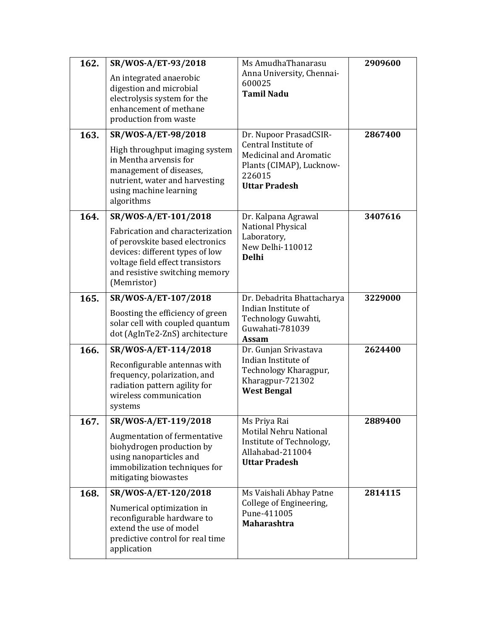| 162. | SR/WOS-A/ET-93/2018                                                                                                                                                                         | Ms AmudhaThanarasu                                                                             | 2909600 |
|------|---------------------------------------------------------------------------------------------------------------------------------------------------------------------------------------------|------------------------------------------------------------------------------------------------|---------|
|      | An integrated anaerobic<br>digestion and microbial<br>electrolysis system for the<br>enhancement of methane<br>production from waste                                                        | Anna University, Chennai-<br>600025<br><b>Tamil Nadu</b>                                       |         |
| 163. | SR/WOS-A/ET-98/2018                                                                                                                                                                         | Dr. Nupoor PrasadCSIR-<br>Central Institute of                                                 | 2867400 |
|      | High throughput imaging system<br>in Mentha arvensis for<br>management of diseases,<br>nutrient, water and harvesting<br>using machine learning<br>algorithms                               | <b>Medicinal and Aromatic</b><br>Plants (CIMAP), Lucknow-<br>226015<br><b>Uttar Pradesh</b>    |         |
| 164. | SR/WOS-A/ET-101/2018                                                                                                                                                                        | Dr. Kalpana Agrawal                                                                            | 3407616 |
|      | Fabrication and characterization<br>of perovskite based electronics<br>devices: different types of low<br>voltage field effect transistors<br>and resistive switching memory<br>(Memristor) | <b>National Physical</b><br>Laboratory,<br>New Delhi-110012<br><b>Delhi</b>                    |         |
| 165. | SR/WOS-A/ET-107/2018                                                                                                                                                                        | Dr. Debadrita Bhattacharya                                                                     | 3229000 |
|      | Boosting the efficiency of green<br>solar cell with coupled quantum<br>dot (AgInTe2-ZnS) architecture                                                                                       | Indian Institute of<br>Technology Guwahti,<br>Guwahati-781039<br>Assam                         |         |
| 166. | SR/WOS-A/ET-114/2018                                                                                                                                                                        | Dr. Gunjan Srivastava                                                                          | 2624400 |
|      | Reconfigurable antennas with<br>frequency, polarization, and<br>radiation pattern agility for<br>wireless communication<br>systems                                                          | Indian Institute of<br>Technology Kharagpur,<br>Kharagpur-721302<br><b>West Bengal</b>         |         |
| 167. | SR/WOS-A/ET-119/2018                                                                                                                                                                        | Ms Priya Rai                                                                                   | 2889400 |
|      | Augmentation of fermentative<br>biohydrogen production by<br>using nanoparticles and<br>immobilization techniques for<br>mitigating biowastes                                               | Motilal Nehru National<br>Institute of Technology,<br>Allahabad-211004<br><b>Uttar Pradesh</b> |         |
| 168. | SR/WOS-A/ET-120/2018                                                                                                                                                                        | Ms Vaishali Abhay Patne                                                                        | 2814115 |
|      | Numerical optimization in<br>reconfigurable hardware to<br>extend the use of model<br>predictive control for real time<br>application                                                       | College of Engineering,<br>Pune-411005<br><b>Maharashtra</b>                                   |         |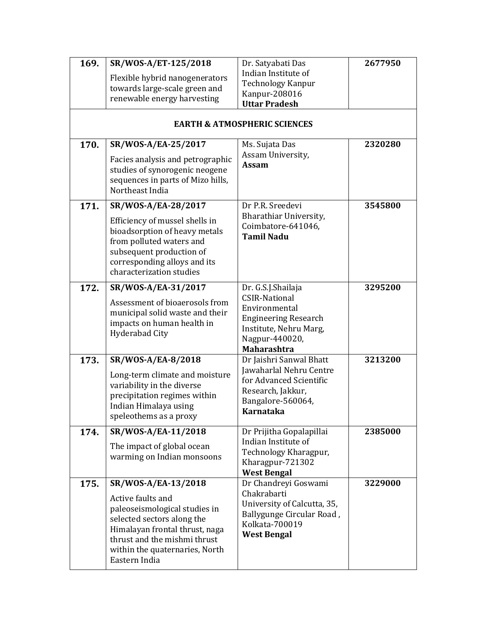| 169. | SR/WOS-A/ET-125/2018                                                                                                       | Dr. Satyabati Das                         | 2677950 |
|------|----------------------------------------------------------------------------------------------------------------------------|-------------------------------------------|---------|
|      | Flexible hybrid nanogenerators                                                                                             | Indian Institute of                       |         |
|      | towards large-scale green and                                                                                              | <b>Technology Kanpur</b>                  |         |
|      | renewable energy harvesting                                                                                                | Kanpur-208016                             |         |
|      |                                                                                                                            | <b>Uttar Pradesh</b>                      |         |
|      |                                                                                                                            | <b>EARTH &amp; ATMOSPHERIC SCIENCES</b>   |         |
| 170. | SR/WOS-A/EA-25/2017                                                                                                        | Ms. Sujata Das                            | 2320280 |
|      | Facies analysis and petrographic<br>studies of synorogenic neogene<br>sequences in parts of Mizo hills,<br>Northeast India | Assam University,<br><b>Assam</b>         |         |
| 171. | SR/WOS-A/EA-28/2017                                                                                                        | Dr P.R. Sreedevi                          | 3545800 |
|      | Efficiency of mussel shells in                                                                                             | Bharathiar University,                    |         |
|      | bioadsorption of heavy metals                                                                                              | Coimbatore-641046,<br><b>Tamil Nadu</b>   |         |
|      | from polluted waters and                                                                                                   |                                           |         |
|      | subsequent production of                                                                                                   |                                           |         |
|      | corresponding alloys and its<br>characterization studies                                                                   |                                           |         |
|      |                                                                                                                            |                                           |         |
| 172. | SR/WOS-A/EA-31/2017                                                                                                        | Dr. G.S.J.Shailaja                        | 3295200 |
|      | Assessment of bioaerosols from                                                                                             | <b>CSIR-National</b><br>Environmental     |         |
|      | municipal solid waste and their                                                                                            | <b>Engineering Research</b>               |         |
|      | impacts on human health in                                                                                                 | Institute, Nehru Marg,                    |         |
|      | <b>Hyderabad City</b>                                                                                                      | Nagpur-440020,                            |         |
|      |                                                                                                                            | <b>Maharashtra</b>                        |         |
| 173. | SR/WOS-A/EA-8/2018                                                                                                         | Dr Jaishri Sanwal Bhatt                   | 3213200 |
|      | Long-term climate and moisture                                                                                             | Jawaharlal Nehru Centre                   |         |
|      | variability in the diverse                                                                                                 | for Advanced Scientific                   |         |
|      | precipitation regimes within                                                                                               | Research, Jakkur,<br>Bangalore-560064,    |         |
|      | Indian Himalaya using                                                                                                      | Karnataka                                 |         |
|      | speleothems as a proxy                                                                                                     |                                           |         |
| 174. | SR/WOS-A/EA-11/2018                                                                                                        | Dr Prijitha Gopalapillai                  | 2385000 |
|      | The impact of global ocean                                                                                                 | Indian Institute of                       |         |
|      | warming on Indian monsoons                                                                                                 | Technology Kharagpur,<br>Kharagpur-721302 |         |
|      |                                                                                                                            | <b>West Bengal</b>                        |         |
| 175. | SR/WOS-A/EA-13/2018                                                                                                        | Dr Chandreyi Goswami                      | 3229000 |
|      | Active faults and                                                                                                          | Chakrabarti                               |         |
|      | paleoseismological studies in                                                                                              | University of Calcutta, 35,               |         |
|      | selected sectors along the                                                                                                 | Ballygunge Circular Road,                 |         |
|      | Himalayan frontal thrust, naga                                                                                             | Kolkata-700019                            |         |
|      | thrust and the mishmi thrust                                                                                               | <b>West Bengal</b>                        |         |
|      | within the quaternaries, North                                                                                             |                                           |         |
|      | Eastern India                                                                                                              |                                           |         |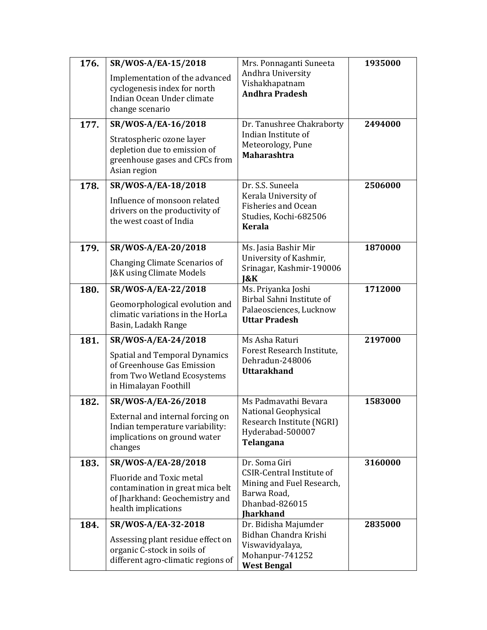| 176. | SR/WOS-A/EA-15/2018                                                                                                        | Mrs. Ponnaganti Suneeta                                                                                            | 1935000 |
|------|----------------------------------------------------------------------------------------------------------------------------|--------------------------------------------------------------------------------------------------------------------|---------|
|      | Implementation of the advanced<br>cyclogenesis index for north<br>Indian Ocean Under climate<br>change scenario            | Andhra University<br>Vishakhapatnam<br><b>Andhra Pradesh</b>                                                       |         |
| 177. | SR/WOS-A/EA-16/2018                                                                                                        | Dr. Tanushree Chakraborty                                                                                          | 2494000 |
|      | Stratospheric ozone layer<br>depletion due to emission of<br>greenhouse gases and CFCs from<br>Asian region                | Indian Institute of<br>Meteorology, Pune<br><b>Maharashtra</b>                                                     |         |
| 178. | SR/WOS-A/EA-18/2018                                                                                                        | Dr. S.S. Suneela                                                                                                   | 2506000 |
|      | Influence of monsoon related<br>drivers on the productivity of<br>the west coast of India                                  | Kerala University of<br><b>Fisheries and Ocean</b><br>Studies, Kochi-682506<br><b>Kerala</b>                       |         |
| 179. | SR/WOS-A/EA-20/2018                                                                                                        | Ms. Jasia Bashir Mir                                                                                               | 1870000 |
|      | Changing Climate Scenarios of<br><b>J&amp;K using Climate Models</b>                                                       | University of Kashmir,<br>Srinagar, Kashmir-190006<br>$\&K$                                                        |         |
| 180. | SR/WOS-A/EA-22/2018                                                                                                        | Ms. Priyanka Joshi                                                                                                 | 1712000 |
|      | Geomorphological evolution and<br>climatic variations in the HorLa<br>Basin, Ladakh Range                                  | Birbal Sahni Institute of<br>Palaeosciences, Lucknow<br><b>Uttar Pradesh</b>                                       |         |
| 181. | SR/WOS-A/EA-24/2018                                                                                                        | Ms Asha Raturi                                                                                                     | 2197000 |
|      | <b>Spatial and Temporal Dynamics</b><br>of Greenhouse Gas Emission<br>from Two Wetland Ecosystems<br>in Himalayan Foothill | Forest Research Institute,<br>Dehradun-248006<br><b>Uttarakhand</b>                                                |         |
| 182. | SR/WOS-A/EA-26/2018                                                                                                        | Ms Padmavathi Bevara                                                                                               | 1583000 |
|      | External and internal forcing on<br>Indian temperature variability:<br>implications on ground water<br>changes             | National Geophysical<br>Research Institute (NGRI)<br>Hyderabad-500007<br>Telangana                                 |         |
| 183. | SR/WOS-A/EA-28/2018                                                                                                        | Dr. Soma Giri                                                                                                      | 3160000 |
|      | Fluoride and Toxic metal<br>contamination in great mica belt<br>of Jharkhand: Geochemistry and<br>health implications      | <b>CSIR-Central Institute of</b><br>Mining and Fuel Research,<br>Barwa Road,<br>Dhanbad-826015<br><b>Iharkhand</b> |         |
| 184. | SR/WOS-A/EA-32-2018                                                                                                        | Dr. Bidisha Majumder                                                                                               | 2835000 |
|      | Assessing plant residue effect on<br>organic C-stock in soils of<br>different agro-climatic regions of                     | Bidhan Chandra Krishi<br>Viswavidyalaya,<br>Mohanpur-741252<br><b>West Bengal</b>                                  |         |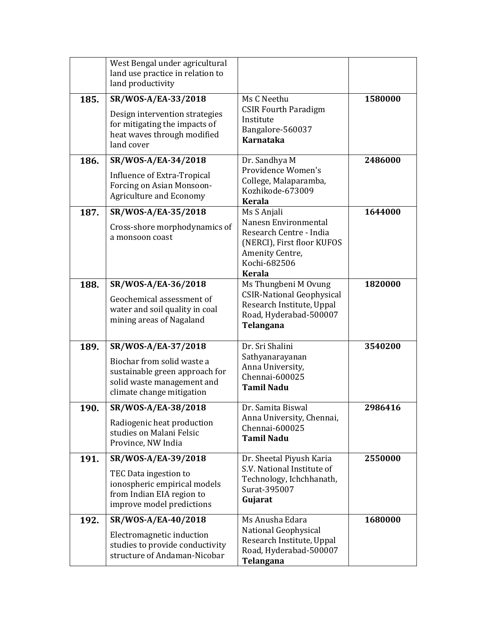|      | West Bengal under agricultural<br>land use practice in relation to<br>land productivity                                                        |                                                                                                                                                  |         |
|------|------------------------------------------------------------------------------------------------------------------------------------------------|--------------------------------------------------------------------------------------------------------------------------------------------------|---------|
| 185. | SR/WOS-A/EA-33/2018<br>Design intervention strategies<br>for mitigating the impacts of<br>heat waves through modified<br>land cover            | Ms C Neethu<br><b>CSIR Fourth Paradigm</b><br>Institute<br>Bangalore-560037<br>Karnataka                                                         | 1580000 |
| 186. | SR/WOS-A/EA-34/2018<br>Influence of Extra-Tropical<br>Forcing on Asian Monsoon-<br><b>Agriculture and Economy</b>                              | Dr. Sandhya M<br>Providence Women's<br>College, Malaparamba,<br>Kozhikode-673009<br><b>Kerala</b>                                                | 2486000 |
| 187. | SR/WOS-A/EA-35/2018<br>Cross-shore morphodynamics of<br>a monsoon coast                                                                        | Ms S Anjali<br>Nanesn Environmental<br>Research Centre - India<br>(NERCI), First floor KUFOS<br>Amenity Centre,<br>Kochi-682506<br><b>Kerala</b> | 1644000 |
| 188. | SR/WOS-A/EA-36/2018<br>Geochemical assessment of<br>water and soil quality in coal<br>mining areas of Nagaland                                 | Ms Thungbeni M Ovung<br><b>CSIR-National Geophysical</b><br>Research Institute, Uppal<br>Road, Hyderabad-500007<br>Telangana                     | 1820000 |
| 189. | SR/WOS-A/EA-37/2018<br>Biochar from solid waste a<br>sustainable green approach for<br>solid waste management and<br>climate change mitigation | Dr. Sri Shalini<br>Sathyanarayanan<br>Anna University,<br>Chennai-600025<br><b>Tamil Nadu</b>                                                    | 3540200 |
| 190. | SR/WOS-A/EA-38/2018<br>Radiogenic heat production<br>studies on Malani Felsic<br>Province, NW India                                            | Dr. Samita Biswal<br>Anna University, Chennai,<br>Chennai-600025<br><b>Tamil Nadu</b>                                                            | 2986416 |
| 191. | SR/WOS-A/EA-39/2018<br>TEC Data ingestion to<br>ionospheric empirical models<br>from Indian EIA region to<br>improve model predictions         | Dr. Sheetal Piyush Karia<br>S.V. National Institute of<br>Technology, Ichchhanath,<br>Surat-395007<br>Gujarat                                    | 2550000 |
| 192. | SR/WOS-A/EA-40/2018<br>Electromagnetic induction<br>studies to provide conductivity<br>structure of Andaman-Nicobar                            | Ms Anusha Edara<br>National Geophysical<br>Research Institute, Uppal<br>Road, Hyderabad-500007<br>Telangana                                      | 1680000 |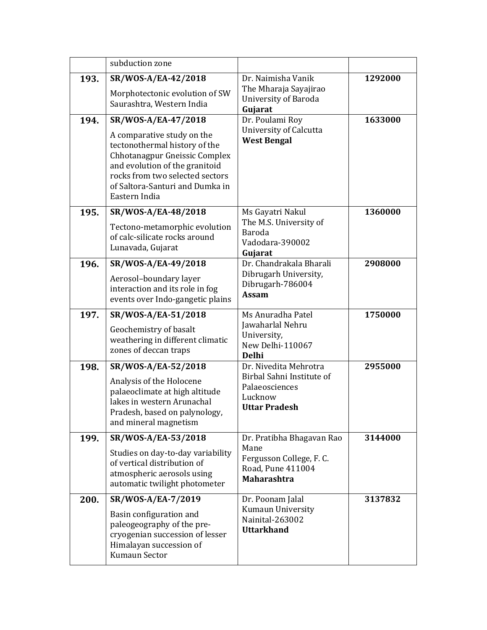|      | subduction zone                                                                                                                                                                                                                              |                                                                                                          |         |
|------|----------------------------------------------------------------------------------------------------------------------------------------------------------------------------------------------------------------------------------------------|----------------------------------------------------------------------------------------------------------|---------|
| 193. | SR/WOS-A/EA-42/2018<br>Morphotectonic evolution of SW<br>Saurashtra, Western India                                                                                                                                                           | Dr. Naimisha Vanik<br>The Mharaja Sayajirao<br>University of Baroda<br>Gujarat                           | 1292000 |
| 194. | SR/WOS-A/EA-47/2018<br>A comparative study on the<br>tectonothermal history of the<br>Chhotanagpur Gneissic Complex<br>and evolution of the granitoid<br>rocks from two selected sectors<br>of Saltora-Santuri and Dumka in<br>Eastern India | Dr. Poulami Roy<br>University of Calcutta<br><b>West Bengal</b>                                          | 1633000 |
| 195. | SR/WOS-A/EA-48/2018<br>Tectono-metamorphic evolution<br>of calc-silicate rocks around<br>Lunavada, Gujarat                                                                                                                                   | Ms Gayatri Nakul<br>The M.S. University of<br>Baroda<br>Vadodara-390002<br>Gujarat                       | 1360000 |
| 196. | SR/WOS-A/EA-49/2018<br>Aerosol-boundary layer<br>interaction and its role in fog<br>events over Indo-gangetic plains                                                                                                                         | Dr. Chandrakala Bharali<br>Dibrugarh University,<br>Dibrugarh-786004<br><b>Assam</b>                     | 2908000 |
| 197. | SR/WOS-A/EA-51/2018<br>Geochemistry of basalt<br>weathering in different climatic<br>zones of deccan traps                                                                                                                                   | Ms Anuradha Patel<br>Jawaharlal Nehru<br>University,<br>New Delhi-110067<br><b>Delhi</b>                 | 1750000 |
| 198. | SR/WOS-A/EA-52/2018<br>Analysis of the Holocene<br>palaeoclimate at high altitude<br>lakes in western Arunachal<br>Pradesh, based on palynology,<br>and mineral magnetism                                                                    | Dr. Nivedita Mehrotra<br>Birbal Sahni Institute of<br>Palaeosciences<br>Lucknow<br><b>Uttar Pradesh</b>  | 2955000 |
| 199. | SR/WOS-A/EA-53/2018<br>Studies on day-to-day variability<br>of vertical distribution of<br>atmospheric aerosols using<br>automatic twilight photometer                                                                                       | Dr. Pratibha Bhagavan Rao<br>Mane<br>Fergusson College, F. C.<br>Road, Pune 411004<br><b>Maharashtra</b> | 3144000 |
| 200. | SR/WOS-A/EA-7/2019<br>Basin configuration and<br>paleogeography of the pre-<br>cryogenian succession of lesser<br>Himalayan succession of<br>Kumaun Sector                                                                                   | Dr. Poonam Jalal<br>Kumaun University<br>Nainital-263002<br><b>Uttarkhand</b>                            | 3137832 |